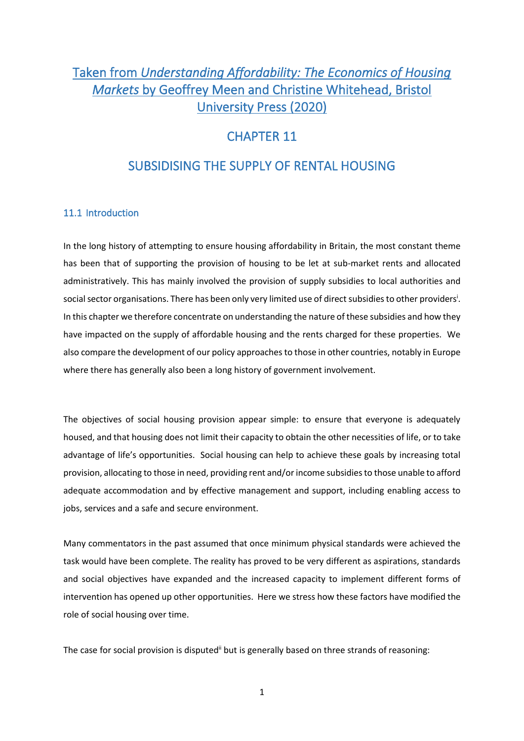# Taken from *Understanding Affordability: The Economics of Housing Markets* by Geoffrey Meen and Christine Whitehead, Bristol University Press (2020)

# CHAPTER 11

# SUBSIDISING THE SUPPLY OF RENTAL HOUSING

# 11.1 Introduction

In the long history of attempting to ensure housing affordability in Britain, the most constant theme has been that of supporting the provision of housing to be let at sub-market rents and allocated administratively. This has mainly involved the provision of supply subsidies to local authorities and social sector organisations. There has been only very limited use of direct subsidies to other providers<sup>i</sup>. In this chapter we therefore concentrate on understanding the nature of these subsidies and how they have impacted on the supply of affordable housing and the rents charged for these properties. We also compare the development of our policy approaches to those in other countries, notably in Europe where there has generally also been a long history of government involvement.

The objectives of social housing provision appear simple: to ensure that everyone is adequately housed, and that housing does not limit their capacity to obtain the other necessities of life, or to take advantage of life's opportunities. Social housing can help to achieve these goals by increasing total provision, allocating to those in need, providing rent and/or income subsidies to those unable to afford adequate accommodation and by effective management and support, including enabling access to jobs, services and a safe and secure environment.

Many commentators in the past assumed that once minimum physical standards were achieved the task would have been complete. The reality has proved to be very different as aspirations, standards and social objectives have expanded and the increased capacity to implement different forms of intervention has opened up other opportunities. Here we stress how these factors have modified the role of social housing over time.

The case for social provision is disputed<sup>ii</sup> but is generally based on three strands of reasoning: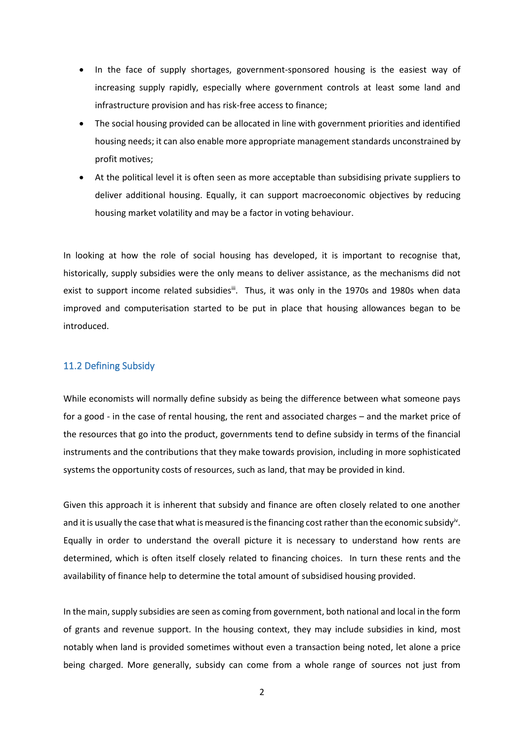- In the face of supply shortages, government-sponsored housing is the easiest way of increasing supply rapidly, especially where government controls at least some land and infrastructure provision and has risk-free access to finance;
- The social housing provided can be allocated in line with government priorities and identified housing needs; it can also enable more appropriate management standards unconstrained by profit motives;
- At the political level it is often seen as more acceptable than subsidising private suppliers to deliver additional housing. Equally, it can support macroeconomic objectives by reducing housing market volatility and may be a factor in voting behaviour.

In looking at how the role of social housing has developed, it is important to recognise that, historically, supply subsidies were the only means to deliver assistance, as the mechanisms did not exist to support income related subsidies<sup>ii</sup>. Thus, it was only in the 1970s and 1980s when data improved and computerisation started to be put in place that housing allowances began to be introduced.

## 11.2 Defining Subsidy

While economists will normally define subsidy as being the difference between what someone pays for a good - in the case of rental housing, the rent and associated charges – and the market price of the resources that go into the product, governments tend to define subsidy in terms of the financial instruments and the contributions that they make towards provision, including in more sophisticated systems the opportunity costs of resources, such as land, that may be provided in kind.

Given this approach it is inherent that subsidy and finance are often closely related to one another and it is usually the case that what is measured is the financing cost rather than the economic subsidy<sup>iv</sup>. Equally in order to understand the overall picture it is necessary to understand how rents are determined, which is often itself closely related to financing choices. In turn these rents and the availability of finance help to determine the total amount of subsidised housing provided.

In the main, supply subsidies are seen as coming from government, both national and local in the form of grants and revenue support. In the housing context, they may include subsidies in kind, most notably when land is provided sometimes without even a transaction being noted, let alone a price being charged. More generally, subsidy can come from a whole range of sources not just from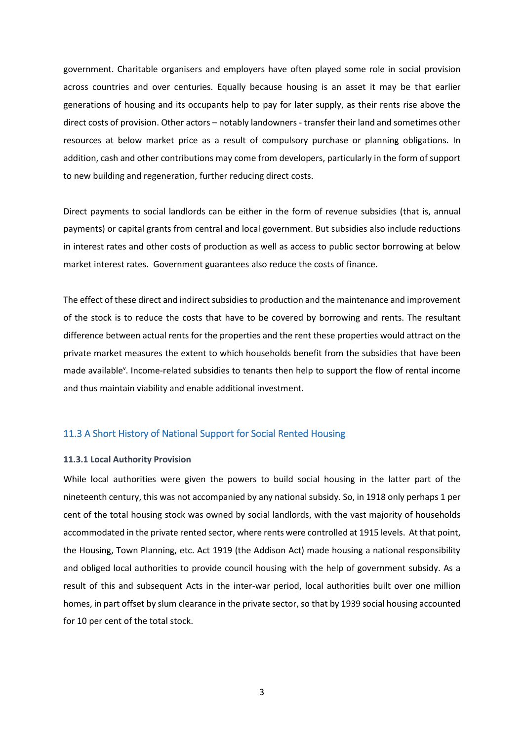government. Charitable organisers and employers have often played some role in social provision across countries and over centuries. Equally because housing is an asset it may be that earlier generations of housing and its occupants help to pay for later supply, as their rents rise above the direct costs of provision. Other actors – notably landowners - transfer their land and sometimes other resources at below market price as a result of compulsory purchase or planning obligations. In addition, cash and other contributions may come from developers, particularly in the form of support to new building and regeneration, further reducing direct costs.

Direct payments to social landlords can be either in the form of revenue subsidies (that is, annual payments) or capital grants from central and local government. But subsidies also include reductions in interest rates and other costs of production as well as access to public sector borrowing at below market interest rates. Government guarantees also reduce the costs of finance.

The effect of these direct and indirect subsidies to production and the maintenance and improvement of the stock is to reduce the costs that have to be covered by borrowing and rents. The resultant difference between actual rents for the properties and the rent these properties would attract on the private market measures the extent to which households benefit from the subsidies that have been made available<sup>v</sup>. Income-related subsidies to tenants then help to support the flow of rental income and thus maintain viability and enable additional investment.

# 11.3 A Short History of National Support for Social Rented Housing

#### **11.3.1 Local Authority Provision**

While local authorities were given the powers to build social housing in the latter part of the nineteenth century, this was not accompanied by any national subsidy. So, in 1918 only perhaps 1 per cent of the total housing stock was owned by social landlords, with the vast majority of households accommodated in the private rented sector, where rents were controlled at 1915 levels. At that point, the Housing, Town Planning, etc. Act 1919 (the Addison Act) made housing a national responsibility and obliged local authorities to provide council housing with the help of government subsidy. As a result of this and subsequent Acts in the inter-war period, local authorities built over one million homes, in part offset by slum clearance in the private sector, so that by 1939 social housing accounted for 10 per cent of the total stock.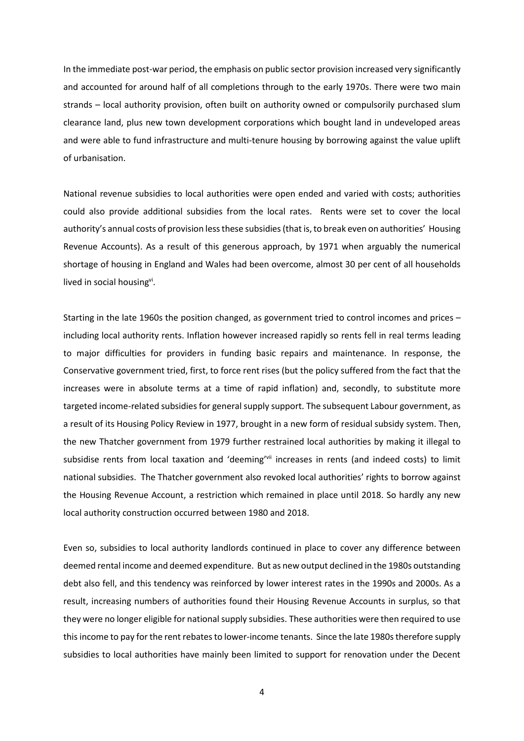In the immediate post-war period, the emphasis on public sector provision increased very significantly and accounted for around half of all completions through to the early 1970s. There were two main strands – local authority provision, often built on authority owned or compulsorily purchased slum clearance land, plus new town development corporations which bought land in undeveloped areas and were able to fund infrastructure and multi-tenure housing by borrowing against the value uplift of urbanisation.

National revenue subsidies to local authorities were open ended and varied with costs; authorities could also provide additional subsidies from the local rates. Rents were set to cover the local authority's annual costs of provision less these subsidies(that is,to break even on authorities' Housing Revenue Accounts). As a result of this generous approach, by 1971 when arguably the numerical shortage of housing in England and Wales had been overcome, almost 30 per cent of all households lived in social housingvi.

Starting in the late 1960s the position changed, as government tried to control incomes and prices – including local authority rents. Inflation however increased rapidly so rents fell in real terms leading to major difficulties for providers in funding basic repairs and maintenance. In response, the Conservative government tried, first, to force rent rises (but the policy suffered from the fact that the increases were in absolute terms at a time of rapid inflation) and, secondly, to substitute more targeted income-related subsidies for general supply support. The subsequent Labour government, as a result of its Housing Policy Review in 1977, brought in a new form of residual subsidy system. Then, the new Thatcher government from 1979 further restrained local authorities by making it illegal to subsidise rents from local taxation and 'deeming'<sup>vii</sup> increases in rents (and indeed costs) to limit national subsidies. The Thatcher government also revoked local authorities' rights to borrow against the Housing Revenue Account, a restriction which remained in place until 2018. So hardly any new local authority construction occurred between 1980 and 2018.

Even so, subsidies to local authority landlords continued in place to cover any difference between deemed rental income and deemed expenditure. But as new output declined in the 1980s outstanding debt also fell, and this tendency was reinforced by lower interest rates in the 1990s and 2000s. As a result, increasing numbers of authorities found their Housing Revenue Accounts in surplus, so that they were no longer eligible for national supply subsidies. These authorities were then required to use this income to pay for the rent rebates to lower-income tenants. Since the late 1980s therefore supply subsidies to local authorities have mainly been limited to support for renovation under the Decent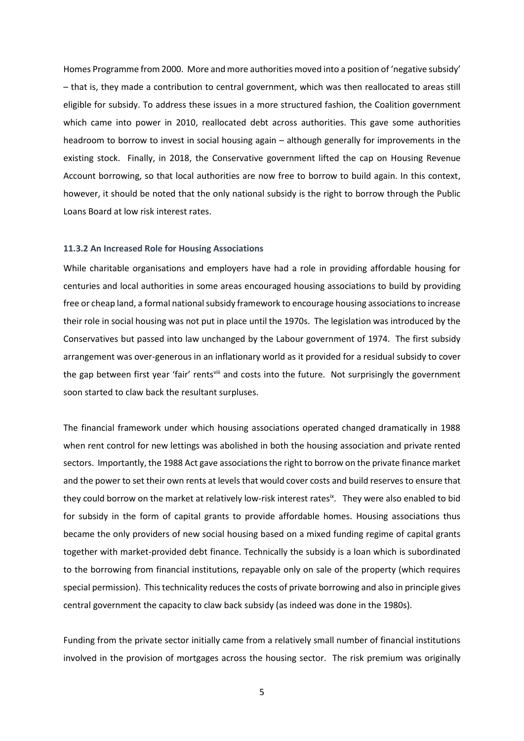Homes Programme from 2000. More and more authorities moved into a position of 'negative subsidy' – that is, they made a contribution to central government, which was then reallocated to areas still eligible for subsidy. To address these issues in a more structured fashion, the Coalition government which came into power in 2010, reallocated debt across authorities. This gave some authorities headroom to borrow to invest in social housing again – although generally for improvements in the existing stock. Finally, in 2018, the Conservative government lifted the cap on Housing Revenue Account borrowing, so that local authorities are now free to borrow to build again. In this context, however, it should be noted that the only national subsidy is the right to borrow through the Public Loans Board at low risk interest rates.

#### **11.3.2 An Increased Role for Housing Associations**

While charitable organisations and employers have had a role in providing affordable housing for centuries and local authorities in some areas encouraged housing associations to build by providing free or cheap land, a formal national subsidy framework to encourage housing associations to increase their role in social housing was not put in place until the 1970s. The legislation was introduced by the Conservatives but passed into law unchanged by the Labour government of 1974. The first subsidy arrangement was over-generous in an inflationary world as it provided for a residual subsidy to cover the gap between first year 'fair' rentsvill and costs into the future. Not surprisingly the government soon started to claw back the resultant surpluses.

The financial framework under which housing associations operated changed dramatically in 1988 when rent control for new lettings was abolished in both the housing association and private rented sectors. Importantly, the 1988 Act gave associations the right to borrow on the private finance market and the power to set their own rents at levels that would cover costs and build reserves to ensure that they could borrow on the market at relatively low-risk interest rates<sup>ix</sup>. They were also enabled to bid for subsidy in the form of capital grants to provide affordable homes. Housing associations thus became the only providers of new social housing based on a mixed funding regime of capital grants together with market-provided debt finance. Technically the subsidy is a loan which is subordinated to the borrowing from financial institutions, repayable only on sale of the property (which requires special permission). This technicality reduces the costs of private borrowing and also in principle gives central government the capacity to claw back subsidy (as indeed was done in the 1980s).

Funding from the private sector initially came from a relatively small number of financial institutions involved in the provision of mortgages across the housing sector. The risk premium was originally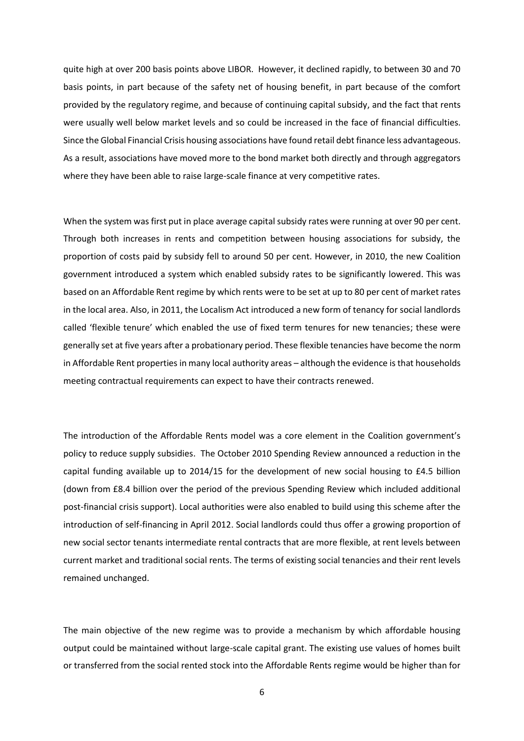quite high at over 200 basis points above LIBOR. However, it declined rapidly, to between 30 and 70 basis points, in part because of the safety net of housing benefit, in part because of the comfort provided by the regulatory regime, and because of continuing capital subsidy, and the fact that rents were usually well below market levels and so could be increased in the face of financial difficulties. Since the Global Financial Crisis housing associations have found retail debt finance less advantageous. As a result, associations have moved more to the bond market both directly and through aggregators where they have been able to raise large-scale finance at very competitive rates.

When the system was first put in place average capital subsidy rates were running at over 90 per cent. Through both increases in rents and competition between housing associations for subsidy, the proportion of costs paid by subsidy fell to around 50 per cent. However, in 2010, the new Coalition government introduced a system which enabled subsidy rates to be significantly lowered. This was based on an Affordable Rent regime by which rents were to be set at up to 80 per cent of market rates in the local area. Also, in 2011, the Localism Act introduced a new form of tenancy for social landlords called 'flexible tenure' which enabled the use of fixed term tenures for new tenancies; these were generally set at five years after a probationary period. These flexible tenancies have become the norm in Affordable Rent properties in many local authority areas – although the evidence is that households meeting contractual requirements can expect to have their contracts renewed.

The introduction of the Affordable Rents model was a core element in the Coalition government's policy to reduce supply subsidies. The October 2010 Spending Review announced a reduction in the capital funding available up to 2014/15 for the development of new social housing to £4.5 billion (down from £8.4 billion over the period of the previous Spending Review which included additional post-financial crisis support). Local authorities were also enabled to build using this scheme after the introduction of self-financing in April 2012. Social landlords could thus offer a growing proportion of new social sector tenants intermediate rental contracts that are more flexible, at rent levels between current market and traditional social rents. The terms of existing social tenancies and their rent levels remained unchanged.

The main objective of the new regime was to provide a mechanism by which affordable housing output could be maintained without large-scale capital grant. The existing use values of homes built or transferred from the social rented stock into the Affordable Rents regime would be higher than for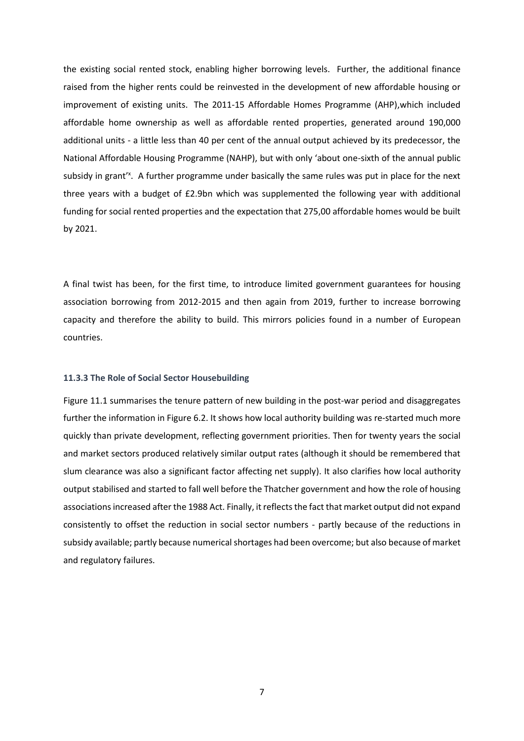the existing social rented stock, enabling higher borrowing levels. Further, the additional finance raised from the higher rents could be reinvested in the development of new affordable housing or improvement of existing units. The 2011-15 Affordable Homes Programme (AHP),which included affordable home ownership as well as affordable rented properties, generated around 190,000 additional units - a little less than 40 per cent of the annual output achieved by its predecessor, the National Affordable Housing Programme (NAHP), but with only 'about one-sixth of the annual public subsidy in grant'<sup>x</sup>. A further programme under basically the same rules was put in place for the next three years with a budget of £2.9bn which was supplemented the following year with additional funding for social rented properties and the expectation that 275,00 affordable homes would be built by 2021.

A final twist has been, for the first time, to introduce limited government guarantees for housing association borrowing from 2012-2015 and then again from 2019, further to increase borrowing capacity and therefore the ability to build. This mirrors policies found in a number of European countries.

#### **11.3.3 The Role of Social Sector Housebuilding**

Figure 11.1 summarises the tenure pattern of new building in the post-war period and disaggregates further the information in Figure 6.2. It shows how local authority building was re-started much more quickly than private development, reflecting government priorities. Then for twenty years the social and market sectors produced relatively similar output rates (although it should be remembered that slum clearance was also a significant factor affecting net supply). It also clarifies how local authority output stabilised and started to fall well before the Thatcher government and how the role of housing associations increased after the 1988 Act. Finally, it reflects the fact that market output did not expand consistently to offset the reduction in social sector numbers - partly because of the reductions in subsidy available; partly because numerical shortages had been overcome; but also because of market and regulatory failures.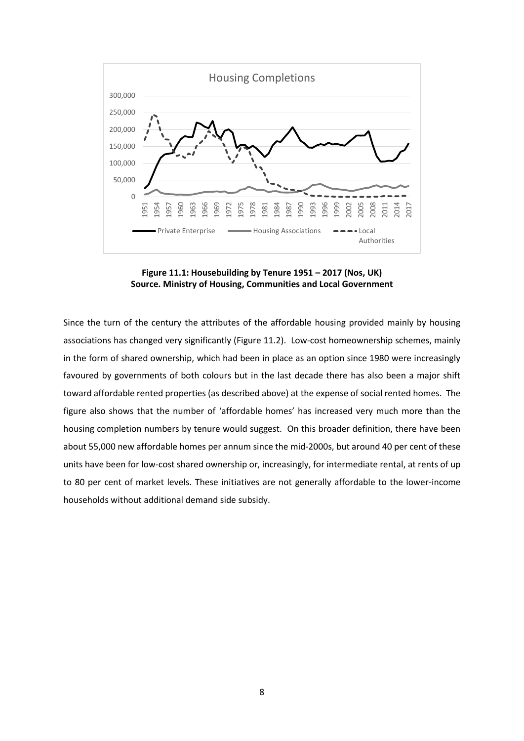

**Figure 11.1: Housebuilding by Tenure 1951 – 2017 (Nos, UK) Source. Ministry of Housing, Communities and Local Government**

Since the turn of the century the attributes of the affordable housing provided mainly by housing associations has changed very significantly (Figure 11.2). Low-cost homeownership schemes, mainly in the form of shared ownership, which had been in place as an option since 1980 were increasingly favoured by governments of both colours but in the last decade there has also been a major shift toward affordable rented properties (as described above) at the expense of social rented homes. The figure also shows that the number of 'affordable homes' has increased very much more than the housing completion numbers by tenure would suggest. On this broader definition, there have been about 55,000 new affordable homes per annum since the mid-2000s, but around 40 per cent of these units have been for low-cost shared ownership or, increasingly, for intermediate rental, at rents of up to 80 per cent of market levels. These initiatives are not generally affordable to the lower-income households without additional demand side subsidy.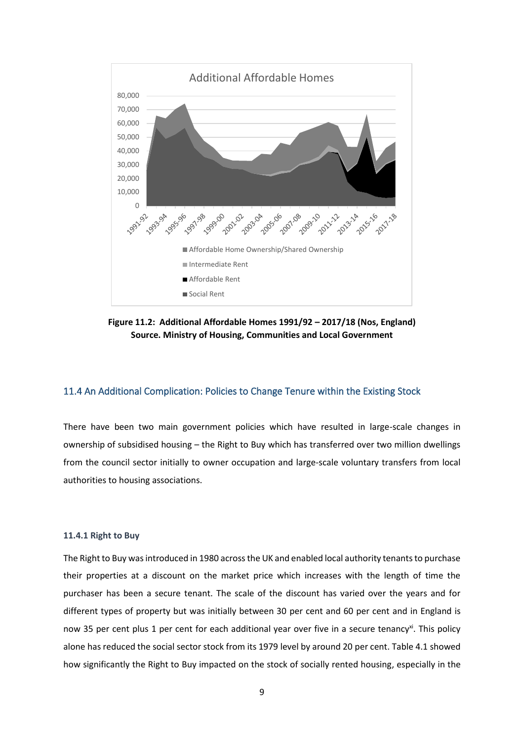

**Figure 11.2: Additional Affordable Homes 1991/92 – 2017/18 (Nos, England) Source. Ministry of Housing, Communities and Local Government** 

## 11.4 An Additional Complication: Policies to Change Tenure within the Existing Stock

There have been two main government policies which have resulted in large-scale changes in ownership of subsidised housing – the Right to Buy which has transferred over two million dwellings from the council sector initially to owner occupation and large-scale voluntary transfers from local authorities to housing associations.

#### **11.4.1 Right to Buy**

The Right to Buy was introduced in 1980 across the UK and enabled local authority tenants to purchase their properties at a discount on the market price which increases with the length of time the purchaser has been a secure tenant. The scale of the discount has varied over the years and for different types of property but was initially between 30 per cent and 60 per cent and in England is now 35 per cent plus 1 per cent for each additional year over five in a secure tenancy<sup>xi</sup>. This policy alone has reduced the social sector stock from its 1979 level by around 20 per cent. Table 4.1 showed how significantly the Right to Buy impacted on the stock of socially rented housing, especially in the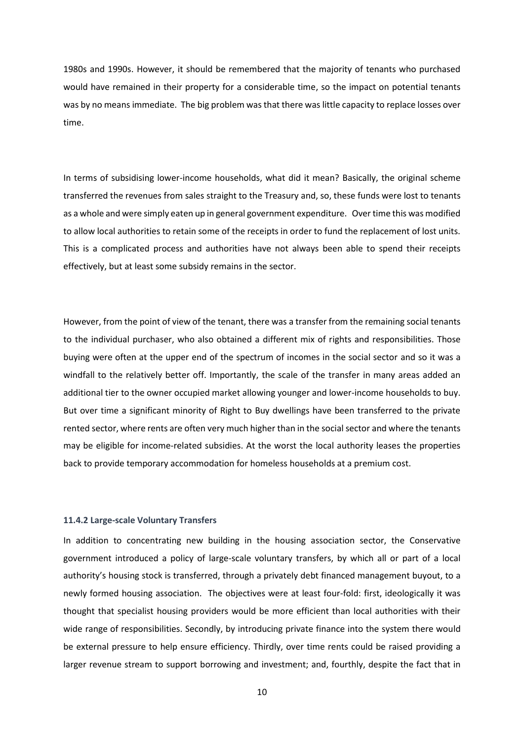1980s and 1990s. However, it should be remembered that the majority of tenants who purchased would have remained in their property for a considerable time, so the impact on potential tenants was by no means immediate. The big problem was that there was little capacity to replace losses over time.

In terms of subsidising lower-income households, what did it mean? Basically, the original scheme transferred the revenues from sales straight to the Treasury and, so, these funds were lost to tenants as a whole and were simply eaten up in general government expenditure. Over time this was modified to allow local authorities to retain some of the receipts in order to fund the replacement of lost units. This is a complicated process and authorities have not always been able to spend their receipts effectively, but at least some subsidy remains in the sector.

However, from the point of view of the tenant, there was a transfer from the remaining social tenants to the individual purchaser, who also obtained a different mix of rights and responsibilities. Those buying were often at the upper end of the spectrum of incomes in the social sector and so it was a windfall to the relatively better off. Importantly, the scale of the transfer in many areas added an additional tier to the owner occupied market allowing younger and lower-income households to buy. But over time a significant minority of Right to Buy dwellings have been transferred to the private rented sector, where rents are often very much higher than in the social sector and where the tenants may be eligible for income-related subsidies. At the worst the local authority leases the properties back to provide temporary accommodation for homeless households at a premium cost.

#### **11.4.2 Large-scale Voluntary Transfers**

In addition to concentrating new building in the housing association sector, the Conservative government introduced a policy of large-scale voluntary transfers, by which all or part of a local authority's housing stock is transferred, through a privately debt financed management buyout, to a newly formed housing association. The objectives were at least four-fold: first, ideologically it was thought that specialist housing providers would be more efficient than local authorities with their wide range of responsibilities. Secondly, by introducing private finance into the system there would be external pressure to help ensure efficiency. Thirdly, over time rents could be raised providing a larger revenue stream to support borrowing and investment; and, fourthly, despite the fact that in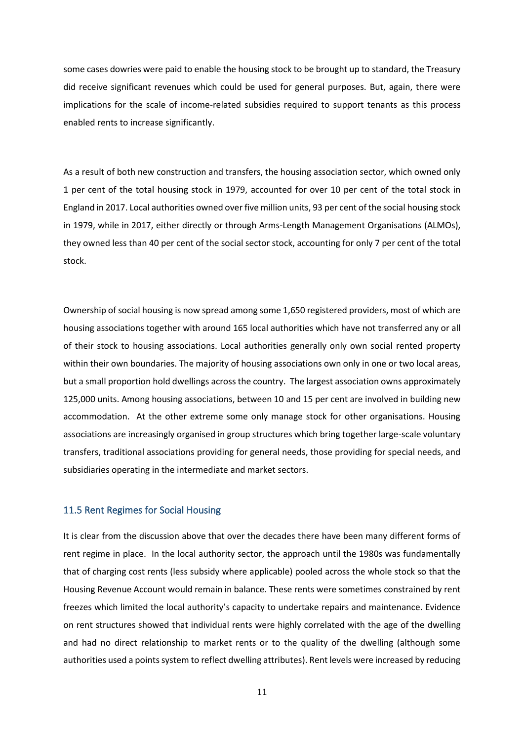some cases dowries were paid to enable the housing stock to be brought up to standard, the Treasury did receive significant revenues which could be used for general purposes. But, again, there were implications for the scale of income-related subsidies required to support tenants as this process enabled rents to increase significantly.

As a result of both new construction and transfers, the housing association sector, which owned only 1 per cent of the total housing stock in 1979, accounted for over 10 per cent of the total stock in England in 2017. Local authorities owned over five million units, 93 per cent of the social housing stock in 1979, while in 2017, either directly or through Arms-Length Management Organisations (ALMOs), they owned less than 40 per cent of the social sector stock, accounting for only 7 per cent of the total stock.

Ownership of social housing is now spread among some 1,650 registered providers, most of which are housing associations together with around 165 local authorities which have not transferred any or all of their stock to housing associations. Local authorities generally only own social rented property within their own boundaries. The majority of housing associations own only in one or two local areas, but a small proportion hold dwellings across the country. The largest association owns approximately 125,000 units. Among housing associations, between 10 and 15 per cent are involved in building new accommodation. At the other extreme some only manage stock for other organisations. Housing associations are increasingly organised in group structures which bring together large-scale voluntary transfers, traditional associations providing for general needs, those providing for special needs, and subsidiaries operating in the intermediate and market sectors.

# 11.5 Rent Regimes for Social Housing

It is clear from the discussion above that over the decades there have been many different forms of rent regime in place. In the local authority sector, the approach until the 1980s was fundamentally that of charging cost rents (less subsidy where applicable) pooled across the whole stock so that the Housing Revenue Account would remain in balance. These rents were sometimes constrained by rent freezes which limited the local authority's capacity to undertake repairs and maintenance. Evidence on rent structures showed that individual rents were highly correlated with the age of the dwelling and had no direct relationship to market rents or to the quality of the dwelling (although some authorities used a points system to reflect dwelling attributes). Rent levels were increased by reducing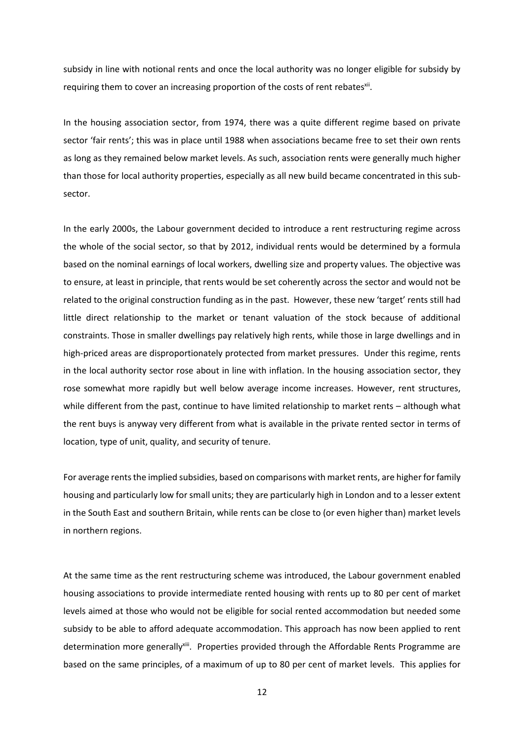subsidy in line with notional rents and once the local authority was no longer eligible for subsidy by requiring them to cover an increasing proportion of the costs of rent rebates<sup>xii</sup>.

In the housing association sector, from 1974, there was a quite different regime based on private sector 'fair rents'; this was in place until 1988 when associations became free to set their own rents as long as they remained below market levels. As such, association rents were generally much higher than those for local authority properties, especially as all new build became concentrated in this subsector.

In the early 2000s, the Labour government decided to introduce a rent restructuring regime across the whole of the social sector, so that by 2012, individual rents would be determined by a formula based on the nominal earnings of local workers, dwelling size and property values. The objective was to ensure, at least in principle, that rents would be set coherently across the sector and would not be related to the original construction funding as in the past. However, these new 'target' rents still had little direct relationship to the market or tenant valuation of the stock because of additional constraints. Those in smaller dwellings pay relatively high rents, while those in large dwellings and in high-priced areas are disproportionately protected from market pressures. Under this regime, rents in the local authority sector rose about in line with inflation. In the housing association sector, they rose somewhat more rapidly but well below average income increases. However, rent structures, while different from the past, continue to have limited relationship to market rents - although what the rent buys is anyway very different from what is available in the private rented sector in terms of location, type of unit, quality, and security of tenure.

For average rents the implied subsidies, based on comparisons with market rents, are higher for family housing and particularly low for small units; they are particularly high in London and to a lesser extent in the South East and southern Britain, while rents can be close to (or even higher than) market levels in northern regions.

At the same time as the rent restructuring scheme was introduced, the Labour government enabled housing associations to provide intermediate rented housing with rents up to 80 per cent of market levels aimed at those who would not be eligible for social rented accommodation but needed some subsidy to be able to afford adequate accommodation. This approach has now been applied to rent determination more generally<sup>xiii</sup>. Properties provided through the Affordable Rents Programme are based on the same principles, of a maximum of up to 80 per cent of market levels. This applies for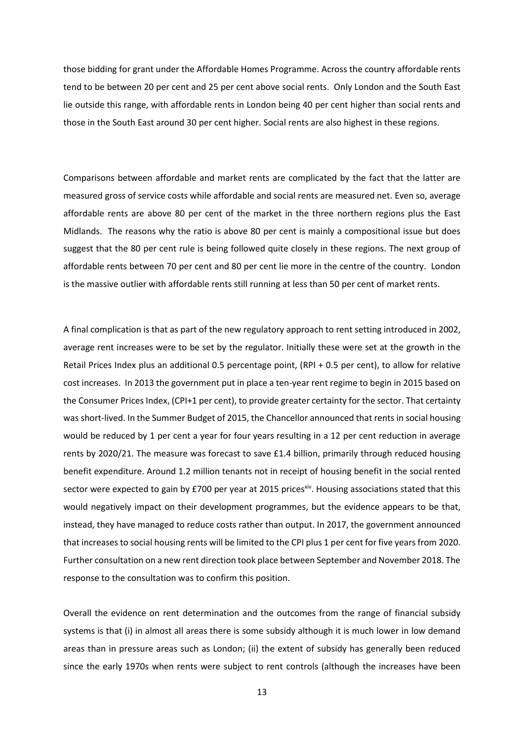those bidding for grant under the Affordable Homes Programme. Across the country affordable rents tend to be between 20 per cent and 25 per cent above social rents. Only London and the South East lie outside this range, with affordable rents in London being 40 per cent higher than social rents and those in the South East around 30 per cent higher. Social rents are also highest in these regions.

Comparisons between affordable and market rents are complicated by the fact that the latter are measured gross of service costs while affordable and social rents are measured net. Even so, average affordable rents are above 80 per cent of the market in the three northern regions plus the East Midlands. The reasons why the ratio is above 80 per cent is mainly a compositional issue but does suggest that the 80 per cent rule is being followed quite closely in these regions. The next group of affordable rents between 70 per cent and 80 per cent lie more in the centre of the country. London is the massive outlier with affordable rents still running at less than 50 per cent of market rents.

A final complication is that as part of the new regulatory approach to rent setting introduced in 2002, average rent increases were to be set by the regulator. Initially these were set at the growth in the Retail Prices Index plus an additional 0.5 percentage point, (RPI + 0.5 per cent), to allow for relative cost increases. In 2013 the government put in place a ten-year rent regime to begin in 2015 based on the Consumer Prices Index, (CPI+1 per cent), to provide greater certainty for the sector. That certainty was short-lived. In the Summer Budget of 2015, the Chancellor announced that rents in social housing would be reduced by 1 per cent a year for four years resulting in a 12 per cent reduction in average rents by 2020/21. The measure was forecast to save £1.4 billion, primarily through reduced housing benefit expenditure. Around 1.2 million tenants not in receipt of housing benefit in the social rented sector were expected to gain by £700 per year at 2015 prices<sup>xiv</sup>. Housing associations stated that this would negatively impact on their development programmes, but the evidence appears to be that, instead, they have managed to reduce costs rather than output. In 2017, the government announced that increases to social housing rents will be limited to the CPI plus 1 per cent for five years from 2020. Further consultation on a new rent direction took place between September and November 2018. The response to the consultation was to confirm this position.

Overall the evidence on rent determination and the outcomes from the range of financial subsidy systems is that (i) in almost all areas there is some subsidy although it is much lower in low demand areas than in pressure areas such as London; (ii) the extent of subsidy has generally been reduced since the early 1970s when rents were subject to rent controls (although the increases have been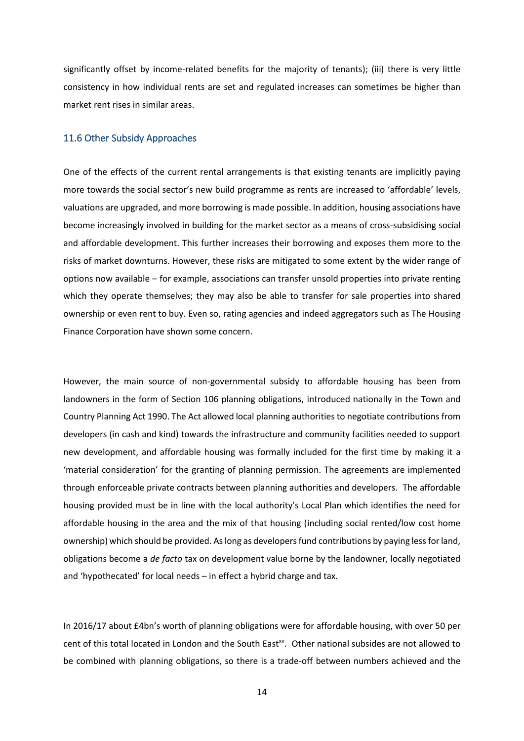significantly offset by income-related benefits for the majority of tenants); (iii) there is very little consistency in how individual rents are set and regulated increases can sometimes be higher than market rent rises in similar areas.

### 11.6 Other Subsidy Approaches

One of the effects of the current rental arrangements is that existing tenants are implicitly paying more towards the social sector's new build programme as rents are increased to 'affordable' levels, valuations are upgraded, and more borrowing is made possible. In addition, housing associations have become increasingly involved in building for the market sector as a means of cross-subsidising social and affordable development. This further increases their borrowing and exposes them more to the risks of market downturns. However, these risks are mitigated to some extent by the wider range of options now available – for example, associations can transfer unsold properties into private renting which they operate themselves; they may also be able to transfer for sale properties into shared ownership or even rent to buy. Even so, rating agencies and indeed aggregators such as The Housing Finance Corporation have shown some concern.

However, the main source of non-governmental subsidy to affordable housing has been from landowners in the form of Section 106 planning obligations, introduced nationally in the Town and Country Planning Act 1990. The Act allowed local planning authorities to negotiate contributions from developers (in cash and kind) towards the infrastructure and community facilities needed to support new development, and affordable housing was formally included for the first time by making it a 'material consideration' for the granting of planning permission. The agreements are implemented through enforceable private contracts between planning authorities and developers. The affordable housing provided must be in line with the local authority's Local Plan which identifies the need for affordable housing in the area and the mix of that housing (including social rented/low cost home ownership) which should be provided. As long as developers fund contributions by paying less for land, obligations become a *de facto* tax on development value borne by the landowner, locally negotiated and 'hypothecated' for local needs – in effect a hybrid charge and tax.

In 2016/17 about £4bn's worth of planning obligations were for affordable housing, with over 50 per cent of this total located in London and the South East<sup>xv</sup>. Other national subsides are not allowed to be combined with planning obligations, so there is a trade-off between numbers achieved and the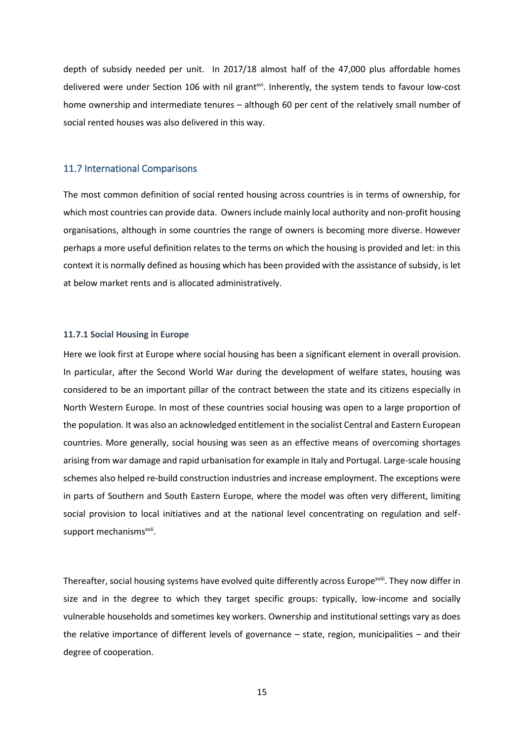depth of subsidy needed per unit. In 2017/18 almost half of the 47,000 plus affordable homes delivered were under Section 106 with nil grant<sup>xvi</sup>. Inherently, the system tends to favour low-cost home ownership and intermediate tenures – although 60 per cent of the relatively small number of social rented houses was also delivered in this way.

# 11.7 International Comparisons

The most common definition of social rented housing across countries is in terms of ownership, for which most countries can provide data. Owners include mainly local authority and non-profit housing organisations, although in some countries the range of owners is becoming more diverse. However perhaps a more useful definition relates to the terms on which the housing is provided and let: in this context it is normally defined as housing which has been provided with the assistance of subsidy, is let at below market rents and is allocated administratively.

#### **11.7.1 Social Housing in Europe**

Here we look first at Europe where social housing has been a significant element in overall provision. In particular, after the Second World War during the development of welfare states, housing was considered to be an important pillar of the contract between the state and its citizens especially in North Western Europe. In most of these countries social housing was open to a large proportion of the population. It was also an acknowledged entitlement in the socialist Central and Eastern European countries. More generally, social housing was seen as an effective means of overcoming shortages arising from war damage and rapid urbanisation for example in Italy and Portugal. Large-scale housing schemes also helped re-build construction industries and increase employment. The exceptions were in parts of Southern and South Eastern Europe, where the model was often very different, limiting social provision to local initiatives and at the national level concentrating on regulation and selfsupport mechanisms<sup>xvii</sup>.

Thereafter, social housing systems have evolved quite differently across Europe<sup>xviii</sup>. They now differ in size and in the degree to which they target specific groups: typically, low-income and socially vulnerable households and sometimes key workers. Ownership and institutional settings vary as does the relative importance of different levels of governance – state, region, municipalities – and their degree of cooperation.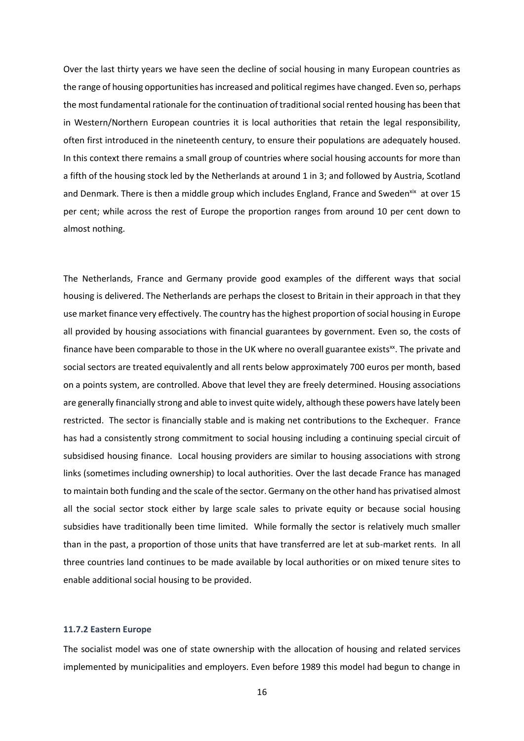Over the last thirty years we have seen the decline of social housing in many European countries as the range of housing opportunities has increased and political regimes have changed. Even so, perhaps the most fundamental rationale for the continuation of traditional social rented housing has been that in Western/Northern European countries it is local authorities that retain the legal responsibility, often first introduced in the nineteenth century, to ensure their populations are adequately housed. In this context there remains a small group of countries where social housing accounts for more than a fifth of the housing stock led by the Netherlands at around 1 in 3; and followed by Austria, Scotland and Denmark. There is then a middle group which includes England, France and Sweden<sup>xix</sup> at over 15 per cent; while across the rest of Europe the proportion ranges from around 10 per cent down to almost nothing.

The Netherlands, France and Germany provide good examples of the different ways that social housing is delivered. The Netherlands are perhaps the closest to Britain in their approach in that they use market finance very effectively. The country has the highest proportion of social housing in Europe all provided by housing associations with financial guarantees by government. Even so, the costs of finance have been comparable to those in the UK where no overall guarantee exists<sup>xx</sup>. The private and social sectors are treated equivalently and all rents below approximately 700 euros per month, based on a points system, are controlled. Above that level they are freely determined. Housing associations are generally financially strong and able to invest quite widely, although these powers have lately been restricted. The sector is financially stable and is making net contributions to the Exchequer. France has had a consistently strong commitment to social housing including a continuing special circuit of subsidised housing finance. Local housing providers are similar to housing associations with strong links (sometimes including ownership) to local authorities. Over the last decade France has managed to maintain both funding and the scale of the sector. Germany on the other hand has privatised almost all the social sector stock either by large scale sales to private equity or because social housing subsidies have traditionally been time limited. While formally the sector is relatively much smaller than in the past, a proportion of those units that have transferred are let at sub-market rents. In all three countries land continues to be made available by local authorities or on mixed tenure sites to enable additional social housing to be provided.

## **11.7.2 Eastern Europe**

The socialist model was one of state ownership with the allocation of housing and related services implemented by municipalities and employers. Even before 1989 this model had begun to change in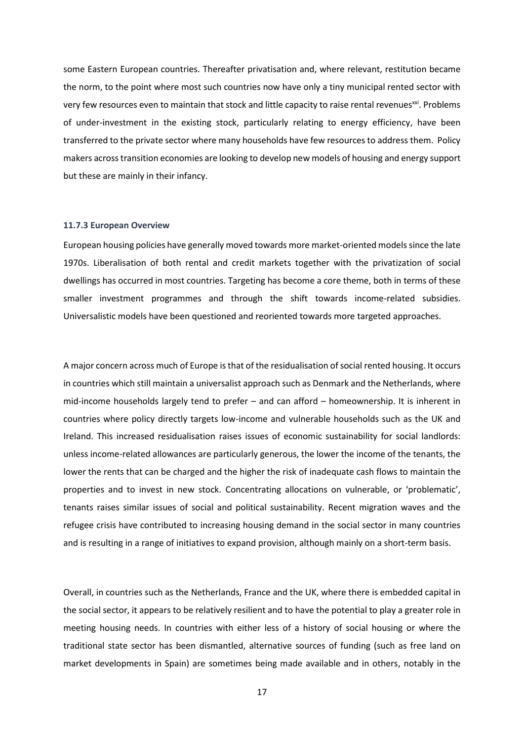some Eastern European countries. Thereafter privatisation and, where relevant, restitution became the norm, to the point where most such countries now have only a tiny municipal rented sector with very few resources even to maintain that stock and little capacity to raise rental revenues<sup>xxi</sup>. Problems of under-investment in the existing stock, particularly relating to energy efficiency, have been transferred to the private sector where many households have few resources to address them. Policy makers across transition economies are looking to develop new models of housing and energy support but these are mainly in their infancy.

#### **11.7.3 European Overview**

European housing policies have generally moved towards more market-oriented models since the late 1970s. Liberalisation of both rental and credit markets together with the privatization of social dwellings has occurred in most countries. Targeting has become a core theme, both in terms of these smaller investment programmes and through the shift towards income-related subsidies. Universalistic models have been questioned and reoriented towards more targeted approaches.

A major concern across much of Europe is that of the residualisation of social rented housing. It occurs in countries which still maintain a universalist approach such as Denmark and the Netherlands, where mid-income households largely tend to prefer – and can afford – homeownership. It is inherent in countries where policy directly targets low-income and vulnerable households such as the UK and Ireland. This increased residualisation raises issues of economic sustainability for social landlords: unless income-related allowances are particularly generous, the lower the income of the tenants, the lower the rents that can be charged and the higher the risk of inadequate cash flows to maintain the properties and to invest in new stock. Concentrating allocations on vulnerable, or 'problematic', tenants raises similar issues of social and political sustainability. Recent migration waves and the refugee crisis have contributed to increasing housing demand in the social sector in many countries and is resulting in a range of initiatives to expand provision, although mainly on a short-term basis.

Overall, in countries such as the Netherlands, France and the UK, where there is embedded capital in the social sector, it appears to be relatively resilient and to have the potential to play a greater role in meeting housing needs. In countries with either less of a history of social housing or where the traditional state sector has been dismantled, alternative sources of funding (such as free land on market developments in Spain) are sometimes being made available and in others, notably in the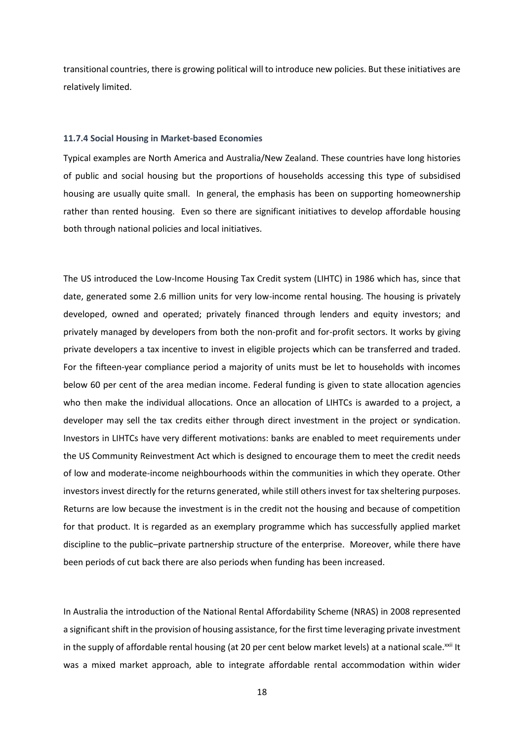transitional countries, there is growing political will to introduce new policies. But these initiatives are relatively limited.

#### **11.7.4 Social Housing in Market-based Economies**

Typical examples are North America and Australia/New Zealand. These countries have long histories of public and social housing but the proportions of households accessing this type of subsidised housing are usually quite small. In general, the emphasis has been on supporting homeownership rather than rented housing. Even so there are significant initiatives to develop affordable housing both through national policies and local initiatives.

The US introduced the Low-Income Housing Tax Credit system (LIHTC) in 1986 which has, since that date, generated some 2.6 million units for very low-income rental housing. The housing is privately developed, owned and operated; privately financed through lenders and equity investors; and privately managed by developers from both the non-profit and for-profit sectors. It works by giving private developers a tax incentive to invest in eligible projects which can be transferred and traded. For the fifteen-year compliance period a majority of units must be let to households with incomes below 60 per cent of the area median income. Federal funding is given to state allocation agencies who then make the individual allocations. Once an allocation of LIHTCs is awarded to a project, a developer may sell the tax credits either through direct investment in the project or syndication. Investors in LIHTCs have very different motivations: banks are enabled to meet requirements under the US Community Reinvestment Act which is designed to encourage them to meet the credit needs of low and moderate-income neighbourhoods within the communities in which they operate. Other investors invest directly for the returns generated, while still others invest for tax sheltering purposes. Returns are low because the investment is in the credit not the housing and because of competition for that product. It is regarded as an exemplary programme which has successfully applied market discipline to the public–private partnership structure of the enterprise. Moreover, while there have been periods of cut back there are also periods when funding has been increased.

In Australia the introduction of the National Rental Affordability Scheme (NRAS) in 2008 represented a significant shift in the provision of housing assistance, for the first time leveraging private investment in the supply of affordable rental housing (at 20 per cent below market levels) at a national scale.<sup>xxii</sup> It was a mixed market approach, able to integrate affordable rental accommodation within wider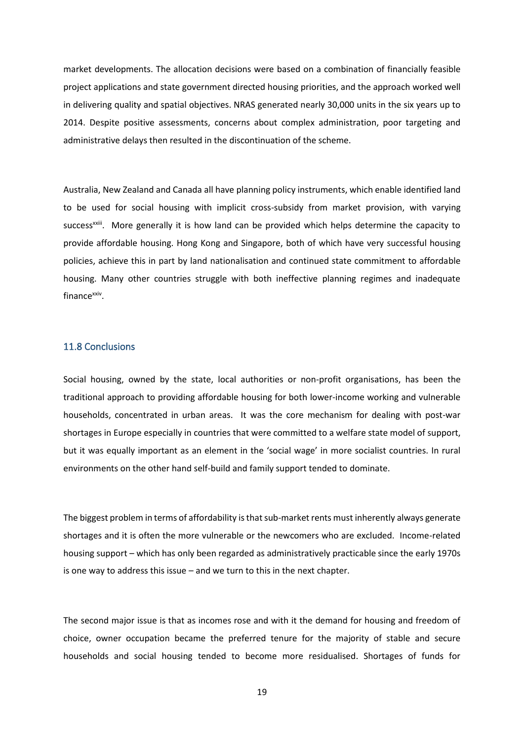market developments. The allocation decisions were based on a combination of financially feasible project applications and state government directed housing priorities, and the approach worked well in delivering quality and spatial objectives. NRAS generated nearly 30,000 units in the six years up to 2014. Despite positive assessments, concerns about complex administration, poor targeting and administrative delays then resulted in the discontinuation of the scheme.

Australia, New Zealand and Canada all have planning policy instruments, which enable identified land to be used for social housing with implicit cross-subsidy from market provision, with varying success<sup>xxiii</sup>. More generally it is how land can be provided which helps determine the capacity to provide affordable housing. Hong Kong and Singapore, both of which have very successful housing policies, achieve this in part by land nationalisation and continued state commitment to affordable housing. Many other countries struggle with both ineffective planning regimes and inadequate finance<sup>xxiv</sup>.

# 11.8 Conclusions

Social housing, owned by the state, local authorities or non-profit organisations, has been the traditional approach to providing affordable housing for both lower-income working and vulnerable households, concentrated in urban areas. It was the core mechanism for dealing with post-war shortages in Europe especially in countries that were committed to a welfare state model of support, but it was equally important as an element in the 'social wage' in more socialist countries. In rural environments on the other hand self-build and family support tended to dominate.

The biggest problem in terms of affordability is that sub-market rents must inherently always generate shortages and it is often the more vulnerable or the newcomers who are excluded. Income-related housing support – which has only been regarded as administratively practicable since the early 1970s is one way to address this issue – and we turn to this in the next chapter.

The second major issue is that as incomes rose and with it the demand for housing and freedom of choice, owner occupation became the preferred tenure for the majority of stable and secure households and social housing tended to become more residualised. Shortages of funds for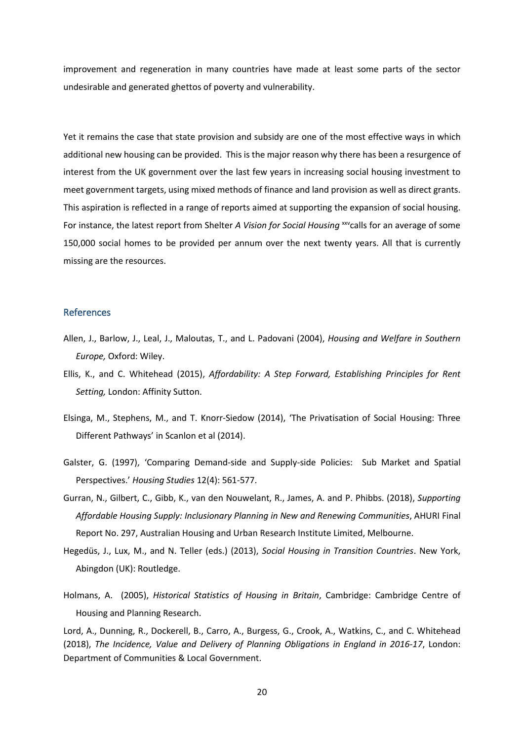improvement and regeneration in many countries have made at least some parts of the sector undesirable and generated ghettos of poverty and vulnerability.

Yet it remains the case that state provision and subsidy are one of the most effective ways in which additional new housing can be provided. This is the major reason why there has been a resurgence of interest from the UK government over the last few years in increasing social housing investment to meet government targets, using mixed methods of finance and land provision as well as direct grants. This aspiration is reflected in a range of reports aimed at supporting the expansion of social housing. For instance, the latest report from Shelter *A Vision for Social Housing* xxv<sup>-</sup>calls for an average of some 150,000 social homes to be provided per annum over the next twenty years. All that is currently missing are the resources.

## References

- Allen, J., Barlow, J., Leal, J., Maloutas, T., and L. Padovani (2004), *Housing and Welfare in Southern Europe,* Oxford: Wiley.
- Ellis, K., and C. Whitehead (2015), *Affordability: A Step Forward, Establishing Principles for Rent Setting,* London: Affinity Sutton.
- Elsinga, M., Stephens, M., and T. Knorr-Siedow (2014), 'The Privatisation of Social Housing: Three Different Pathways' in Scanlon et al (2014).
- Galster, G. (1997), 'Comparing Demand-side and Supply-side Policies: Sub Market and Spatial Perspectives.' *Housing Studies* 12(4): 561-577.
- Gurran, N., Gilbert, C., Gibb, K., van den Nouwelant, R., James, A. and P. Phibbs. (2018), *Supporting Affordable Housing Supply: Inclusionary Planning in New and Renewing Communities*, AHURI Final Report No. 297, Australian Housing and Urban Research Institute Limited, Melbourne.
- Hegedüs, J., Lux, M., and N. Teller (eds.) (2013), *Social Housing in Transition Countries*. New York, Abingdon (UK): Routledge.
- Holmans, A. (2005), *Historical Statistics of Housing in Britain*, Cambridge: Cambridge Centre of Housing and Planning Research.

Lord, A., Dunning, R., Dockerell, B., Carro, A., Burgess, G., Crook, A., Watkins, C., and C. Whitehead (2018), *The Incidence, Value and Delivery of Planning Obligations in England in 2016-17*, London: Department of Communities & Local Government.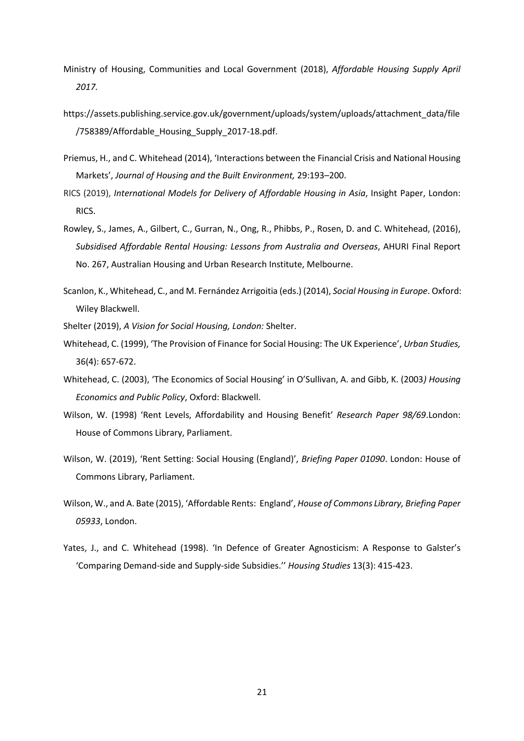- Ministry of Housing, Communities and Local Government (2018), *Affordable Housing Supply April 2017.*
- https://assets.publishing.service.gov.uk/government/uploads/system/uploads/attachment\_data/file /758389/Affordable\_Housing\_Supply\_2017-18.pdf.
- Priemus, H., and C. Whitehead (2014), 'Interactions between the Financial Crisis and National Housing Markets', *Journal of Housing and the Built Environment,* 29:193–200.
- RICS (2019), *International Models for Delivery of Affordable Housing in Asia*, Insight Paper, London: RICS.
- Rowley, S., James, A., Gilbert, C., Gurran, N., Ong, R., Phibbs, P., Rosen, D. and C. Whitehead, (2016), *Subsidised Affordable Rental Housing: Lessons from Australia and Overseas*, AHURI Final Report No. 267, Australian Housing and Urban Research Institute, Melbourne.
- Scanlon, K., Whitehead, C., and M. Fernández Arrigoitia (eds.) (2014), *Social Housing in Europe*. Oxford: Wiley Blackwell.
- Shelter (2019), *A Vision for Social Housing, London:* Shelter.
- Whitehead, C. (1999), 'The Provision of Finance for Social Housing: The UK Experience', *Urban Studies,*  36(4): 657-672.
- Whitehead, C. (2003), 'The Economics of Social Housing' in O'Sullivan, A. and Gibb, K. (2003*) Housing Economics and Public Policy*, Oxford: Blackwell.
- Wilson, W. (1998) 'Rent Levels, Affordability and Housing Benefit' *Research Paper 98/69*.London: House of Commons Library, Parliament.
- Wilson, W. (2019), 'Rent Setting: Social Housing (England)', *Briefing Paper 01090*. London: House of Commons Library, Parliament.
- Wilson, W., and A. Bate (2015), 'Affordable Rents: England', *House of Commons Library, Briefing Paper*  05933, London.
- Yates, J., and C. Whitehead (1998). 'In Defence of Greater Agnosticism: A Response to Galster's 'Comparing Demand-side and Supply-side Subsidies.'' *Housing Studies* 13(3): 415-423.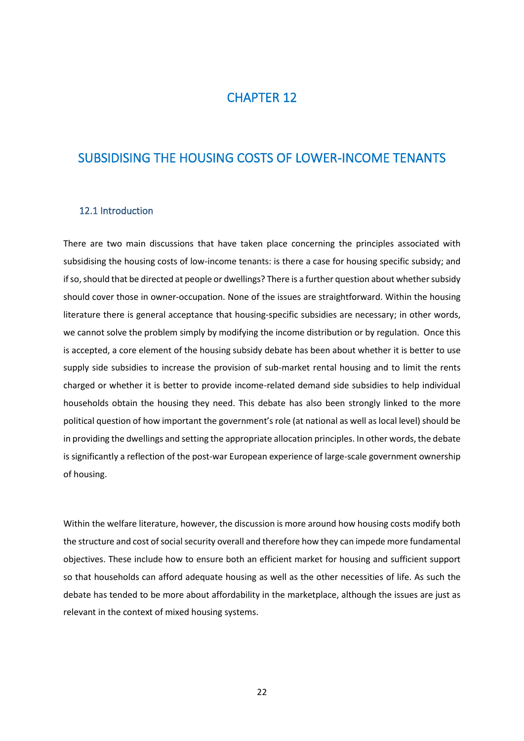# CHAPTER 12

# SUBSIDISING THE HOUSING COSTS OF LOWER-INCOME TENANTS

# 12.1 Introduction

There are two main discussions that have taken place concerning the principles associated with subsidising the housing costs of low-income tenants: is there a case for housing specific subsidy; and if so, should that be directed at people or dwellings? There is a further question about whether subsidy should cover those in owner-occupation. None of the issues are straightforward. Within the housing literature there is general acceptance that housing-specific subsidies are necessary; in other words, we cannot solve the problem simply by modifying the income distribution or by regulation. Once this is accepted, a core element of the housing subsidy debate has been about whether it is better to use supply side subsidies to increase the provision of sub-market rental housing and to limit the rents charged or whether it is better to provide income-related demand side subsidies to help individual households obtain the housing they need. This debate has also been strongly linked to the more political question of how important the government's role (at national as well as local level) should be in providing the dwellings and setting the appropriate allocation principles. In other words, the debate is significantly a reflection of the post-war European experience of large-scale government ownership of housing.

Within the welfare literature, however, the discussion is more around how housing costs modify both the structure and cost of social security overall and therefore how they can impede more fundamental objectives. These include how to ensure both an efficient market for housing and sufficient support so that households can afford adequate housing as well as the other necessities of life. As such the debate has tended to be more about affordability in the marketplace, although the issues are just as relevant in the context of mixed housing systems.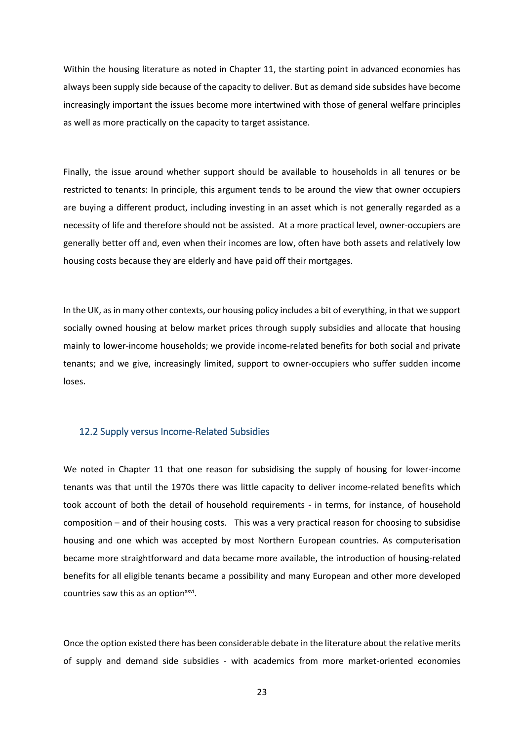Within the housing literature as noted in Chapter 11, the starting point in advanced economies has always been supply side because of the capacity to deliver. But as demand side subsides have become increasingly important the issues become more intertwined with those of general welfare principles as well as more practically on the capacity to target assistance.

Finally, the issue around whether support should be available to households in all tenures or be restricted to tenants: In principle, this argument tends to be around the view that owner occupiers are buying a different product, including investing in an asset which is not generally regarded as a necessity of life and therefore should not be assisted. At a more practical level, owner-occupiers are generally better off and, even when their incomes are low, often have both assets and relatively low housing costs because they are elderly and have paid off their mortgages.

In the UK, as in many other contexts, our housing policy includes a bit of everything, in that we support socially owned housing at below market prices through supply subsidies and allocate that housing mainly to lower-income households; we provide income-related benefits for both social and private tenants; and we give, increasingly limited, support to owner-occupiers who suffer sudden income loses.

## 12.2 Supply versus Income-Related Subsidies

We noted in Chapter 11 that one reason for subsidising the supply of housing for lower-income tenants was that until the 1970s there was little capacity to deliver income-related benefits which took account of both the detail of household requirements - in terms, for instance, of household composition – and of their housing costs. This was a very practical reason for choosing to subsidise housing and one which was accepted by most Northern European countries. As computerisation became more straightforward and data became more available, the introduction of housing-related benefits for all eligible tenants became a possibility and many European and other more developed countries saw this as an option<sup>xxvi</sup>.

Once the option existed there has been considerable debate in the literature about the relative merits of supply and demand side subsidies - with academics from more market-oriented economies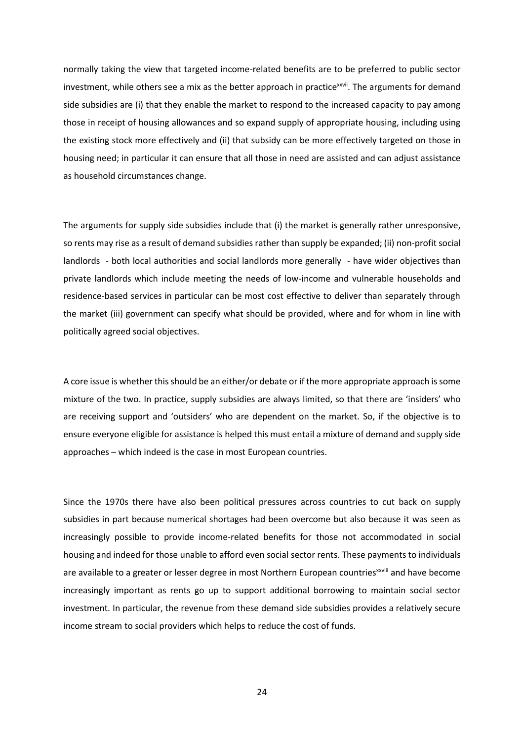normally taking the view that targeted income-related benefits are to be preferred to public sector investment, while others see a mix as the better approach in practice<sup>xxvii</sup>. The arguments for demand side subsidies are (i) that they enable the market to respond to the increased capacity to pay among those in receipt of housing allowances and so expand supply of appropriate housing, including using the existing stock more effectively and (ii) that subsidy can be more effectively targeted on those in housing need; in particular it can ensure that all those in need are assisted and can adjust assistance as household circumstances change.

The arguments for supply side subsidies include that (i) the market is generally rather unresponsive, so rents may rise as a result of demand subsidies rather than supply be expanded; (ii) non-profit social landlords - both local authorities and social landlords more generally - have wider objectives than private landlords which include meeting the needs of low-income and vulnerable households and residence-based services in particular can be most cost effective to deliver than separately through the market (iii) government can specify what should be provided, where and for whom in line with politically agreed social objectives.

A core issue is whether this should be an either/or debate or if the more appropriate approach is some mixture of the two. In practice, supply subsidies are always limited, so that there are 'insiders' who are receiving support and 'outsiders' who are dependent on the market. So, if the objective is to ensure everyone eligible for assistance is helped this must entail a mixture of demand and supply side approaches – which indeed is the case in most European countries.

Since the 1970s there have also been political pressures across countries to cut back on supply subsidies in part because numerical shortages had been overcome but also because it was seen as increasingly possible to provide income-related benefits for those not accommodated in social housing and indeed for those unable to afford even social sector rents. These payments to individuals are available to a greater or lesser degree in most Northern European countries<sup>xxviii</sup> and have become increasingly important as rents go up to support additional borrowing to maintain social sector investment. In particular, the revenue from these demand side subsidies provides a relatively secure income stream to social providers which helps to reduce the cost of funds.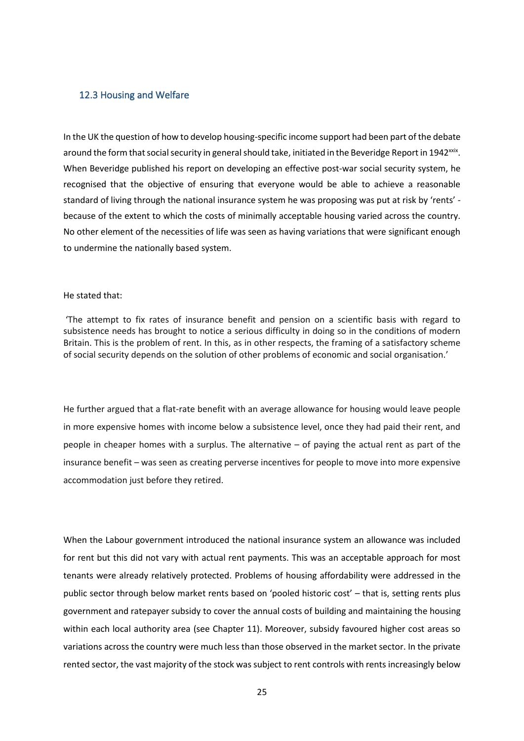## 12.3 Housing and Welfare

In the UK the question of how to develop housing-specific income support had been part of the debate around the form that social security in general should take, initiated in the Beveridge Report in 1942<sup>xxix</sup>. When Beveridge published his report on developing an effective post-war social security system, he recognised that the objective of ensuring that everyone would be able to achieve a reasonable standard of living through the national insurance system he was proposing was put at risk by 'rents' because of the extent to which the costs of minimally acceptable housing varied across the country. No other element of the necessities of life was seen as having variations that were significant enough to undermine the nationally based system.

#### He stated that:

'The attempt to fix rates of insurance benefit and pension on a scientific basis with regard to subsistence needs has brought to notice a serious difficulty in doing so in the conditions of modern Britain. This is the problem of rent. In this, as in other respects, the framing of a satisfactory scheme of social security depends on the solution of other problems of economic and social organisation.'

He further argued that a flat-rate benefit with an average allowance for housing would leave people in more expensive homes with income below a subsistence level, once they had paid their rent, and people in cheaper homes with a surplus. The alternative – of paying the actual rent as part of the insurance benefit – was seen as creating perverse incentives for people to move into more expensive accommodation just before they retired.

When the Labour government introduced the national insurance system an allowance was included for rent but this did not vary with actual rent payments. This was an acceptable approach for most tenants were already relatively protected. Problems of housing affordability were addressed in the public sector through below market rents based on 'pooled historic cost' – that is, setting rents plus government and ratepayer subsidy to cover the annual costs of building and maintaining the housing within each local authority area (see Chapter 11). Moreover, subsidy favoured higher cost areas so variations across the country were much less than those observed in the market sector. In the private rented sector, the vast majority of the stock was subject to rent controls with rents increasingly below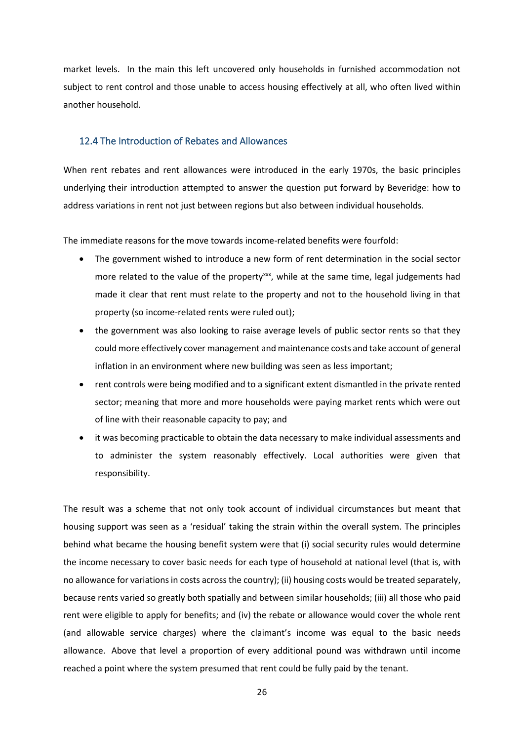market levels. In the main this left uncovered only households in furnished accommodation not subject to rent control and those unable to access housing effectively at all, who often lived within another household.

## 12.4 The Introduction of Rebates and Allowances

When rent rebates and rent allowances were introduced in the early 1970s, the basic principles underlying their introduction attempted to answer the question put forward by Beveridge: how to address variations in rent not just between regions but also between individual households.

The immediate reasons for the move towards income-related benefits were fourfold:

- The government wished to introduce a new form of rent determination in the social sector more related to the value of the property<sup>xxx</sup>, while at the same time, legal judgements had made it clear that rent must relate to the property and not to the household living in that property (so income-related rents were ruled out);
- the government was also looking to raise average levels of public sector rents so that they could more effectively cover management and maintenance costs and take account of general inflation in an environment where new building was seen as less important;
- rent controls were being modified and to a significant extent dismantled in the private rented sector; meaning that more and more households were paying market rents which were out of line with their reasonable capacity to pay; and
- it was becoming practicable to obtain the data necessary to make individual assessments and to administer the system reasonably effectively. Local authorities were given that responsibility.

The result was a scheme that not only took account of individual circumstances but meant that housing support was seen as a 'residual' taking the strain within the overall system. The principles behind what became the housing benefit system were that (i) social security rules would determine the income necessary to cover basic needs for each type of household at national level (that is, with no allowance for variations in costs across the country); (ii) housing costs would be treated separately, because rents varied so greatly both spatially and between similar households; (iii) all those who paid rent were eligible to apply for benefits; and (iv) the rebate or allowance would cover the whole rent (and allowable service charges) where the claimant's income was equal to the basic needs allowance. Above that level a proportion of every additional pound was withdrawn until income reached a point where the system presumed that rent could be fully paid by the tenant.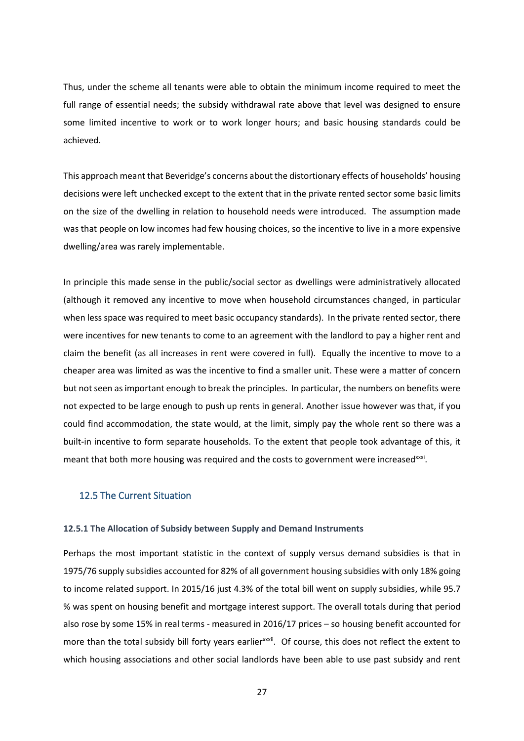Thus, under the scheme all tenants were able to obtain the minimum income required to meet the full range of essential needs; the subsidy withdrawal rate above that level was designed to ensure some limited incentive to work or to work longer hours; and basic housing standards could be achieved.

This approach meant that Beveridge's concerns about the distortionary effects of households' housing decisions were left unchecked except to the extent that in the private rented sector some basic limits on the size of the dwelling in relation to household needs were introduced. The assumption made was that people on low incomes had few housing choices, so the incentive to live in a more expensive dwelling/area was rarely implementable.

In principle this made sense in the public/social sector as dwellings were administratively allocated (although it removed any incentive to move when household circumstances changed, in particular when less space was required to meet basic occupancy standards). In the private rented sector, there were incentives for new tenants to come to an agreement with the landlord to pay a higher rent and claim the benefit (as all increases in rent were covered in full). Equally the incentive to move to a cheaper area was limited as was the incentive to find a smaller unit. These were a matter of concern but not seen as important enough to break the principles. In particular, the numbers on benefits were not expected to be large enough to push up rents in general. Another issue however was that, if you could find accommodation, the state would, at the limit, simply pay the whole rent so there was a built-in incentive to form separate households. To the extent that people took advantage of this, it meant that both more housing was required and the costs to government were increased<sup>xxxi</sup>.

# 12.5 The Current Situation

#### **12.5.1 The Allocation of Subsidy between Supply and Demand Instruments**

Perhaps the most important statistic in the context of supply versus demand subsidies is that in 1975/76 supply subsidies accounted for 82% of all government housing subsidies with only 18% going to income related support. In 2015/16 just 4.3% of the total bill went on supply subsidies, while 95.7 % was spent on housing benefit and mortgage interest support. The overall totals during that period also rose by some 15% in real terms - measured in 2016/17 prices – so housing benefit accounted for more than the total subsidy bill forty years earlierxxxii. Of course, this does not reflect the extent to which housing associations and other social landlords have been able to use past subsidy and rent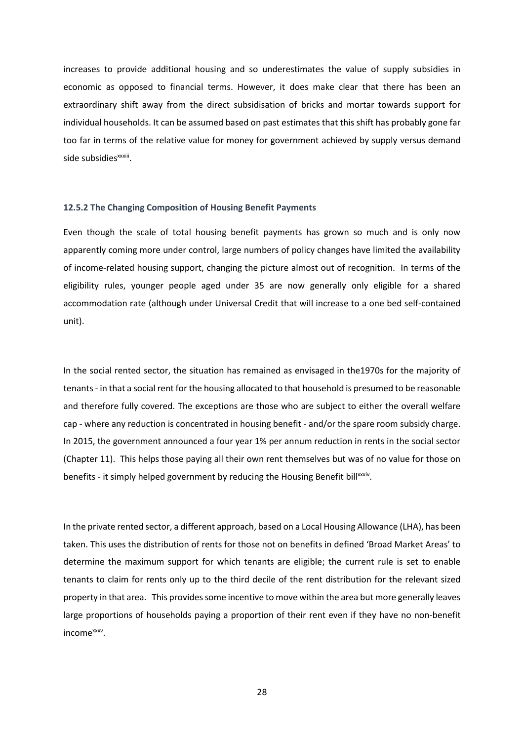increases to provide additional housing and so underestimates the value of supply subsidies in economic as opposed to financial terms. However, it does make clear that there has been an extraordinary shift away from the direct subsidisation of bricks and mortar towards support for individual households. It can be assumed based on past estimates that this shift has probably gone far too far in terms of the relative value for money for government achieved by supply versus demand side subsidies<sup>xxxiii</sup>.

#### **12.5.2 The Changing Composition of Housing Benefit Payments**

Even though the scale of total housing benefit payments has grown so much and is only now apparently coming more under control, large numbers of policy changes have limited the availability of income-related housing support, changing the picture almost out of recognition. In terms of the eligibility rules, younger people aged under 35 are now generally only eligible for a shared accommodation rate (although under Universal Credit that will increase to a one bed self-contained unit).

In the social rented sector, the situation has remained as envisaged in the1970s for the majority of tenants- in that a social rent for the housing allocated to that household is presumed to be reasonable and therefore fully covered. The exceptions are those who are subject to either the overall welfare cap - where any reduction is concentrated in housing benefit - and/or the spare room subsidy charge. In 2015, the government announced a four year 1% per annum reduction in rents in the social sector (Chapter 11). This helps those paying all their own rent themselves but was of no value for those on benefits - it simply helped government by reducing the Housing Benefit billxxxiv.

In the private rented sector, a different approach, based on a Local Housing Allowance (LHA), has been taken. This uses the distribution of rents for those not on benefits in defined 'Broad Market Areas' to determine the maximum support for which tenants are eligible; the current rule is set to enable tenants to claim for rents only up to the third decile of the rent distribution for the relevant sized property in that area. This provides some incentive to move within the area but more generally leaves large proportions of households paying a proportion of their rent even if they have no non-benefit income<sup>xxxv</sup>.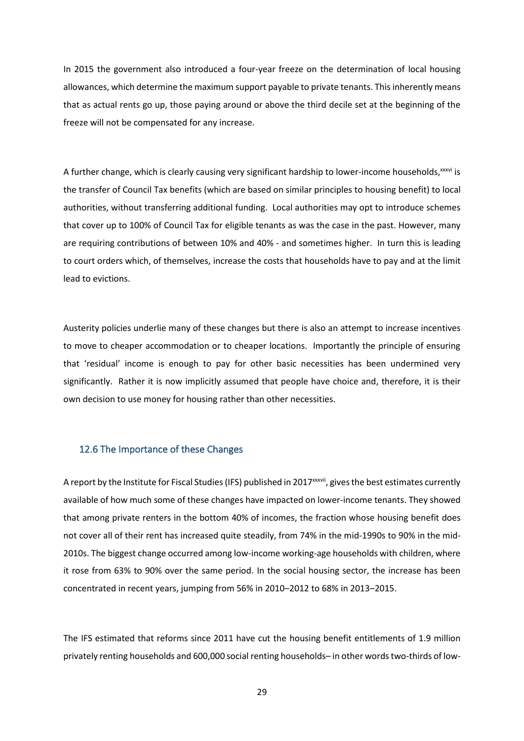In 2015 the government also introduced a four-year freeze on the determination of local housing allowances, which determine the maximum support payable to private tenants. This inherently means that as actual rents go up, those paying around or above the third decile set at the beginning of the freeze will not be compensated for any increase.

A further change, which is clearly causing very significant hardship to lower-income households, xxxvi is the transfer of Council Tax benefits (which are based on similar principles to housing benefit) to local authorities, without transferring additional funding. Local authorities may opt to introduce schemes that cover up to 100% of Council Tax for eligible tenants as was the case in the past. However, many are requiring contributions of between 10% and 40% - and sometimes higher. In turn this is leading to court orders which, of themselves, increase the costs that households have to pay and at the limit lead to evictions.

Austerity policies underlie many of these changes but there is also an attempt to increase incentives to move to cheaper accommodation or to cheaper locations. Importantly the principle of ensuring that 'residual' income is enough to pay for other basic necessities has been undermined very significantly. Rather it is now implicitly assumed that people have choice and, therefore, it is their own decision to use money for housing rather than other necessities.

## 12.6 The Importance of these Changes

A report by the Institute for Fiscal Studies (IFS) published in 2017<sup>xxxvii</sup>, gives the best estimates currently available of how much some of these changes have impacted on lower-income tenants. They showed that among private renters in the bottom 40% of incomes, the fraction whose housing benefit does not cover all of their rent has increased quite steadily, from 74% in the mid-1990s to 90% in the mid-2010s. The biggest change occurred among low-income working-age households with children, where it rose from 63% to 90% over the same period. In the social housing sector, the increase has been concentrated in recent years, jumping from 56% in 2010-2012 to 68% in 2013-2015.

The IFS estimated that reforms since 2011 have cut the housing benefit entitlements of 1.9 million privately renting households and 600,000 social renting households– in other words two-thirds of low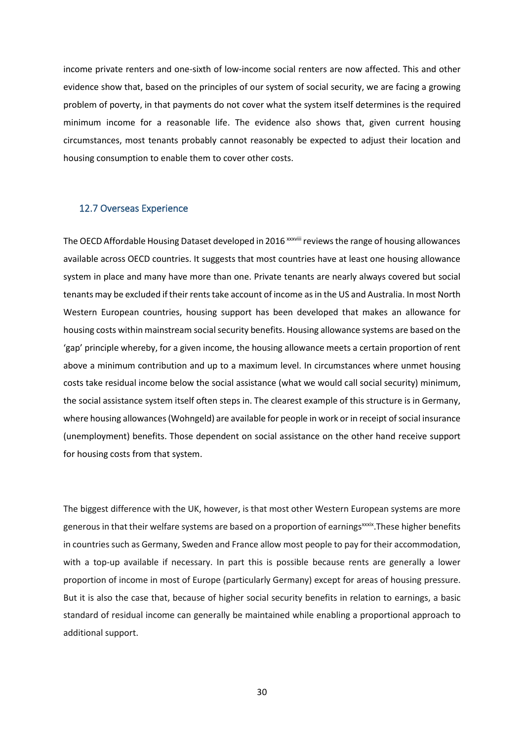income private renters and one-sixth of low-income social renters are now affected. This and other evidence show that, based on the principles of our system of social security, we are facing a growing problem of poverty, in that payments do not cover what the system itself determines is the required minimum income for a reasonable life. The evidence also shows that, given current housing circumstances, most tenants probably cannot reasonably be expected to adjust their location and housing consumption to enable them to cover other costs.

## 12.7 Overseas Experience

The OECD Affordable Housing Dataset developed in 2016 xxxviii reviews the range of housing allowances available across OECD countries. It suggests that most countries have at least one housing allowance system in place and many have more than one. Private tenants are nearly always covered but social tenants may be excluded if their rents take account of income as in the US and Australia. In most North Western European countries, housing support has been developed that makes an allowance for housing costs within mainstream social security benefits. Housing allowance systems are based on the 'gap' principle whereby, for a given income, the housing allowance meets a certain proportion of rent above a minimum contribution and up to a maximum level. In circumstances where unmet housing costs take residual income below the social assistance (what we would call social security) minimum, the social assistance system itself often steps in. The clearest example of this structure is in Germany, where housing allowances(Wohngeld) are available for people in work or in receipt of social insurance (unemployment) benefits. Those dependent on social assistance on the other hand receive support for housing costs from that system.

The biggest difference with the UK, however, is that most other Western European systems are more generous in that their welfare systems are based on a proportion of earnings<sup>xxxix</sup>. These higher benefits in countries such as Germany, Sweden and France allow most people to pay for their accommodation, with a top-up available if necessary. In part this is possible because rents are generally a lower proportion of income in most of Europe (particularly Germany) except for areas of housing pressure. But it is also the case that, because of higher social security benefits in relation to earnings, a basic standard of residual income can generally be maintained while enabling a proportional approach to additional support.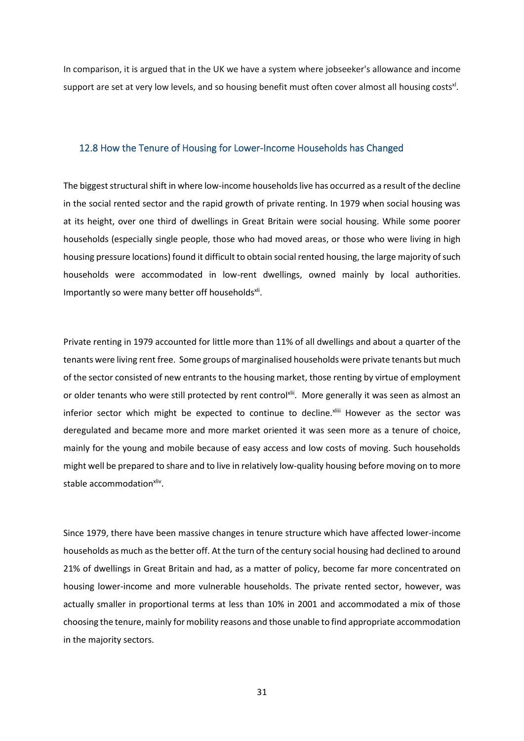In comparison, it is argued that in the UK we have a system where jobseeker's allowance and income support are set at very low levels, and so housing benefit must often cover almost all housing costs<sup>xl</sup>.

#### 12.8 How the Tenure of Housing for Lower-Income Households has Changed

The biggest structural shift in where low-income households live has occurred as a result of the decline in the social rented sector and the rapid growth of private renting. In 1979 when social housing was at its height, over one third of dwellings in Great Britain were social housing. While some poorer households (especially single people, those who had moved areas, or those who were living in high housing pressure locations) found it difficult to obtain social rented housing, the large majority of such households were accommodated in low-rent dwellings, owned mainly by local authorities. Importantly so were many better off households<sup>xli</sup>.

Private renting in 1979 accounted for little more than 11% of all dwellings and about a quarter of the tenants were living rent free. Some groups of marginalised households were private tenants but much of the sector consisted of new entrants to the housing market, those renting by virtue of employment or older tenants who were still protected by rent control<sup>xlii</sup>. More generally it was seen as almost an inferior sector which might be expected to continue to decline. Xliii However as the sector was deregulated and became more and more market oriented it was seen more as a tenure of choice, mainly for the young and mobile because of easy access and low costs of moving. Such households might well be prepared to share and to live in relatively low-quality housing before moving on to more stable accommodation<sup>xliv</sup>.

Since 1979, there have been massive changes in tenure structure which have affected lower-income households as much as the better off. At the turn of the century social housing had declined to around 21% of dwellings in Great Britain and had, as a matter of policy, become far more concentrated on housing lower-income and more vulnerable households. The private rented sector, however, was actually smaller in proportional terms at less than 10% in 2001 and accommodated a mix of those choosing the tenure, mainly for mobility reasons and those unable to find appropriate accommodation in the majority sectors.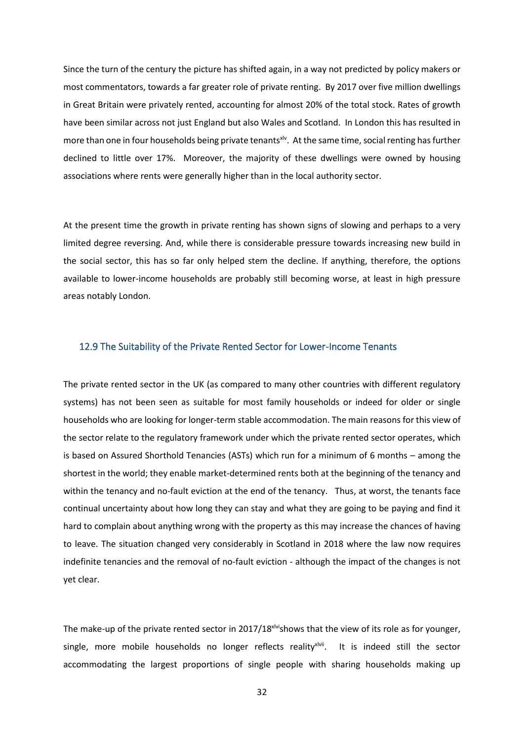Since the turn of the century the picture has shifted again, in a way not predicted by policy makers or most commentators, towards a far greater role of private renting. By 2017 over five million dwellings in Great Britain were privately rented, accounting for almost 20% of the total stock. Rates of growth have been similar across not just England but also Wales and Scotland. In London this has resulted in more than one in four households being private tenants<sup>xlv</sup>. At the same time, social renting has further declined to little over 17%. Moreover, the majority of these dwellings were owned by housing associations where rents were generally higher than in the local authority sector.

At the present time the growth in private renting has shown signs of slowing and perhaps to a very limited degree reversing. And, while there is considerable pressure towards increasing new build in the social sector, this has so far only helped stem the decline. If anything, therefore, the options available to lower-income households are probably still becoming worse, at least in high pressure areas notably London.

## 12.9 The Suitability of the Private Rented Sector for Lower-Income Tenants

The private rented sector in the UK (as compared to many other countries with different regulatory systems) has not been seen as suitable for most family households or indeed for older or single households who are looking for longer-term stable accommodation. The main reasons for this view of the sector relate to the regulatory framework under which the private rented sector operates, which is based on Assured Shorthold Tenancies (ASTs) which run for a minimum of 6 months – among the shortest in the world; they enable market-determined rents both at the beginning of the tenancy and within the tenancy and no-fault eviction at the end of the tenancy. Thus, at worst, the tenants face continual uncertainty about how long they can stay and what they are going to be paying and find it hard to complain about anything wrong with the property as this may increase the chances of having to leave. The situation changed very considerably in Scotland in 2018 where the law now requires indefinite tenancies and the removal of no-fault eviction - although the impact of the changes is not yet clear.

The make-up of the private rented sector in 2017/18<sup>xlvi</sup>shows that the view of its role as for younger, single, more mobile households no longer reflects reality<sup>xlvii</sup>. It is indeed still the sector accommodating the largest proportions of single people with sharing households making up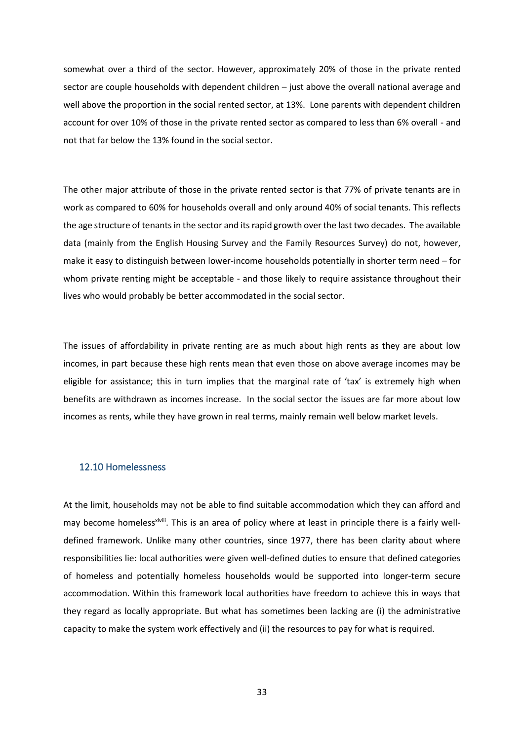somewhat over a third of the sector. However, approximately 20% of those in the private rented sector are couple households with dependent children – just above the overall national average and well above the proportion in the social rented sector, at 13%. Lone parents with dependent children account for over 10% of those in the private rented sector as compared to less than 6% overall - and not that far below the 13% found in the social sector.

The other major attribute of those in the private rented sector is that 77% of private tenants are in work as compared to 60% for households overall and only around 40% of social tenants. This reflects the age structure of tenants in the sector and its rapid growth over the last two decades. The available data (mainly from the English Housing Survey and the Family Resources Survey) do not, however, make it easy to distinguish between lower-income households potentially in shorter term need – for whom private renting might be acceptable - and those likely to require assistance throughout their lives who would probably be better accommodated in the social sector.

The issues of affordability in private renting are as much about high rents as they are about low incomes, in part because these high rents mean that even those on above average incomes may be eligible for assistance; this in turn implies that the marginal rate of 'tax' is extremely high when benefits are withdrawn as incomes increase. In the social sector the issues are far more about low incomes as rents, while they have grown in real terms, mainly remain well below market levels.

### 12.10 Homelessness

At the limit, households may not be able to find suitable accommodation which they can afford and may become homeless<sup>xiviii</sup>. This is an area of policy where at least in principle there is a fairly welldefined framework. Unlike many other countries, since 1977, there has been clarity about where responsibilities lie: local authorities were given well-defined duties to ensure that defined categories of homeless and potentially homeless households would be supported into longer-term secure accommodation. Within this framework local authorities have freedom to achieve this in ways that they regard as locally appropriate. But what has sometimes been lacking are (i) the administrative capacity to make the system work effectively and (ii) the resources to pay for what is required.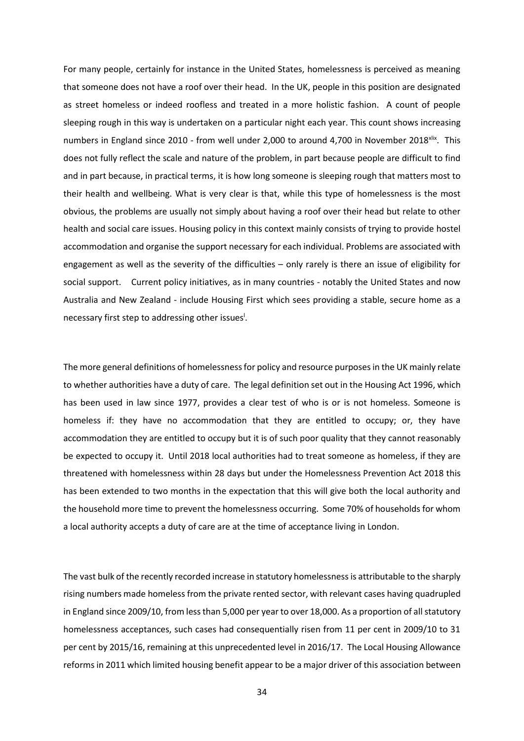For many people, certainly for instance in the United States, homelessness is perceived as meaning that someone does not have a roof over their head. In the UK, people in this position are designated as street homeless or indeed roofless and treated in a more holistic fashion. A count of people sleeping rough in this way is undertaken on a particular night each year. This count shows increasing numbers in England since 2010 - from well under 2,000 to around 4,700 in November 2018<sup>xlix</sup>. This does not fully reflect the scale and nature of the problem, in part because people are difficult to find and in part because, in practical terms, it is how long someone is sleeping rough that matters most to their health and wellbeing. What is very clear is that, while this type of homelessness is the most obvious, the problems are usually not simply about having a roof over their head but relate to other health and social care issues. Housing policy in this context mainly consists of trying to provide hostel accommodation and organise the support necessary for each individual. Problems are associated with engagement as well as the severity of the difficulties – only rarely is there an issue of eligibility for social support. Current policy initiatives, as in many countries - notably the United States and now Australia and New Zealand - include Housing First which sees providing a stable, secure home as a necessary first step to addressing other issues<sup>1</sup>.

The more general definitions of homelessness for policy and resource purposes in the UK mainly relate to whether authorities have a duty of care. The legal definition set out in the Housing Act 1996, which has been used in law since 1977, provides a clear test of who is or is not homeless. Someone is homeless if: they have no accommodation that they are entitled to occupy; or, they have accommodation they are entitled to occupy but it is of such poor quality that they cannot reasonably be expected to occupy it. Until 2018 local authorities had to treat someone as homeless, if they are threatened with homelessness within 28 days but under the Homelessness Prevention Act 2018 this has been extended to two months in the expectation that this will give both the local authority and the household more time to prevent the homelessness occurring. Some 70% of households for whom a local authority accepts a duty of care are at the time of acceptance living in London.

The vast bulk of the recently recorded increase in statutory homelessness is attributable to the sharply rising numbers made homeless from the private rented sector, with relevant cases having quadrupled in England since 2009/10, from less than 5,000 per year to over 18,000. As a proportion of all statutory homelessness acceptances, such cases had consequentially risen from 11 per cent in 2009/10 to 31 per cent by 2015/16, remaining at this unprecedented level in 2016/17. The Local Housing Allowance reforms in 2011 which limited housing benefit appear to be a major driver of this association between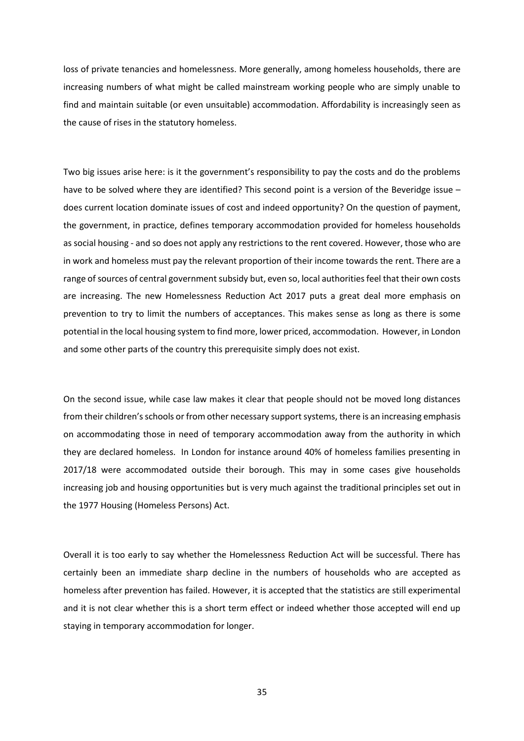loss of private tenancies and homelessness. More generally, among homeless households, there are increasing numbers of what might be called mainstream working people who are simply unable to find and maintain suitable (or even unsuitable) accommodation. Affordability is increasingly seen as the cause of rises in the statutory homeless.

Two big issues arise here: is it the government's responsibility to pay the costs and do the problems have to be solved where they are identified? This second point is a version of the Beveridge issue – does current location dominate issues of cost and indeed opportunity? On the question of payment, the government, in practice, defines temporary accommodation provided for homeless households as social housing - and so does not apply any restrictions to the rent covered. However, those who are in work and homeless must pay the relevant proportion of their income towards the rent. There are a range of sources of central government subsidy but, even so, local authorities feel that their own costs are increasing. The new Homelessness Reduction Act 2017 puts a great deal more emphasis on prevention to try to limit the numbers of acceptances. This makes sense as long as there is some potential in the local housing system to find more, lower priced, accommodation. However, in London and some other parts of the country this prerequisite simply does not exist.

On the second issue, while case law makes it clear that people should not be moved long distances from their children's schools or from other necessary support systems, there is an increasing emphasis on accommodating those in need of temporary accommodation away from the authority in which they are declared homeless. In London for instance around 40% of homeless families presenting in 2017/18 were accommodated outside their borough. This may in some cases give households increasing job and housing opportunities but is very much against the traditional principles set out in the 1977 Housing (Homeless Persons) Act.

Overall it is too early to say whether the Homelessness Reduction Act will be successful. There has certainly been an immediate sharp decline in the numbers of households who are accepted as homeless after prevention has failed. However, it is accepted that the statistics are still experimental and it is not clear whether this is a short term effect or indeed whether those accepted will end up staying in temporary accommodation for longer.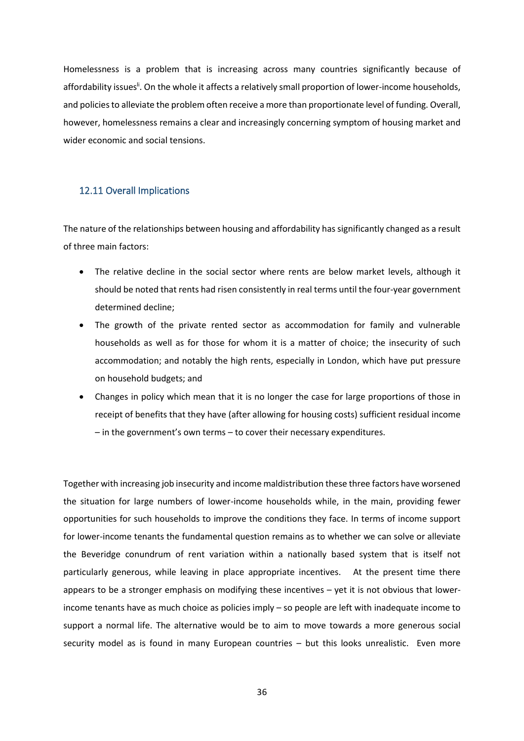Homelessness is a problem that is increasing across many countries significantly because of affordability issues<sup>"</sup>. On the whole it affects a relatively small proportion of lower-income households, and policies to alleviate the problem often receive a more than proportionate level of funding. Overall, however, homelessness remains a clear and increasingly concerning symptom of housing market and wider economic and social tensions.

## 12.11 Overall Implications

The nature of the relationships between housing and affordability has significantly changed as a result of three main factors:

- The relative decline in the social sector where rents are below market levels, although it should be noted that rents had risen consistently in real terms until the four-year government determined decline;
- The growth of the private rented sector as accommodation for family and vulnerable households as well as for those for whom it is a matter of choice; the insecurity of such accommodation; and notably the high rents, especially in London, which have put pressure on household budgets; and
- Changes in policy which mean that it is no longer the case for large proportions of those in receipt of benefits that they have (after allowing for housing costs) sufficient residual income – in the government's own terms – to cover their necessary expenditures.

Together with increasing job insecurity and income maldistribution these three factors have worsened the situation for large numbers of lower-income households while, in the main, providing fewer opportunities for such households to improve the conditions they face. In terms of income support for lower-income tenants the fundamental question remains as to whether we can solve or alleviate the Beveridge conundrum of rent variation within a nationally based system that is itself not particularly generous, while leaving in place appropriate incentives. At the present time there appears to be a stronger emphasis on modifying these incentives – yet it is not obvious that lowerincome tenants have as much choice as policies imply – so people are left with inadequate income to support a normal life. The alternative would be to aim to move towards a more generous social security model as is found in many European countries – but this looks unrealistic. Even more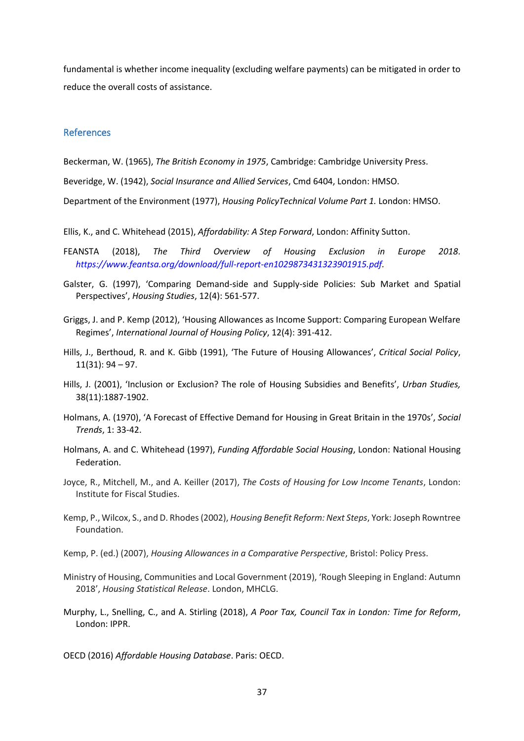fundamental is whether income inequality (excluding welfare payments) can be mitigated in order to reduce the overall costs of assistance.

# References

Beckerman, W. (1965), *The British Economy in 1975*, Cambridge: Cambridge University Press.

Beveridge, W. (1942), *Social Insurance and Allied Services*, Cmd 6404, London: HMSO.

Department of the Environment (1977), *Housing PolicyTechnical Volume Part 1.* London: HMSO.

Ellis, K., and C. Whitehead (2015), *Affordability: A Step Forward*, London: Affinity Sutton.

- FEANSTA (2018), *The Third Overview of Housing Exclusion in Europe 2018. [https://www.feantsa.org/download/full-report-en1029873431323901915.pdf.](https://www.feantsa.org/download/full-report-en1029873431323901915.pdf)*
- Galster, G. (1997), 'Comparing Demand-side and Supply-side Policies: Sub Market and Spatial Perspectives', *Housing Studies*, 12(4): 561-577.
- Griggs, J. and P. Kemp (2012), 'Housing Allowances as Income Support: Comparing European Welfare Regimes', *International Journal of Housing Policy*, 12(4): 391-412.
- Hills, J., Berthoud, R. and K. Gibb (1991), 'The Future of Housing Allowances', *Critical Social Policy*, 11(31): 94 – 97.
- Hills, J. (2001), 'Inclusion or Exclusion? The role of Housing Subsidies and Benefits', *Urban Studies,* 38(11):1887-1902.
- Holmans, A. (1970), 'A Forecast of Effective Demand for Housing in Great Britain in the 1970s', *Social Trends*, 1: 33-42.
- Holmans, A. and C. Whitehead (1997), *Funding Affordable Social Housing*, London: National Housing Federation.
- Joyce, R., Mitchell, M., and A. Keiller (2017), *The Costs of Housing for Low Income Tenants*, London: Institute for Fiscal Studies.
- Kemp, P., Wilcox, S., and D. Rhodes (2002), *Housing Benefit Reform: Next Steps*, York: Joseph Rowntree Foundation.
- Kemp, P. (ed.) (2007), *Housing Allowances in a Comparative Perspective*, Bristol: Policy Press.
- Ministry of Housing, Communities and Local Government (2019), 'Rough Sleeping in England: Autumn 2018', *Housing Statistical Release*. London, MHCLG.
- Murphy, L., Snelling, C., and A. Stirling (2018), *A Poor Tax, Council Tax in London: Time for Reform*, London: IPPR.

OECD (2016) *Affordable Housing Database*. Paris: OECD.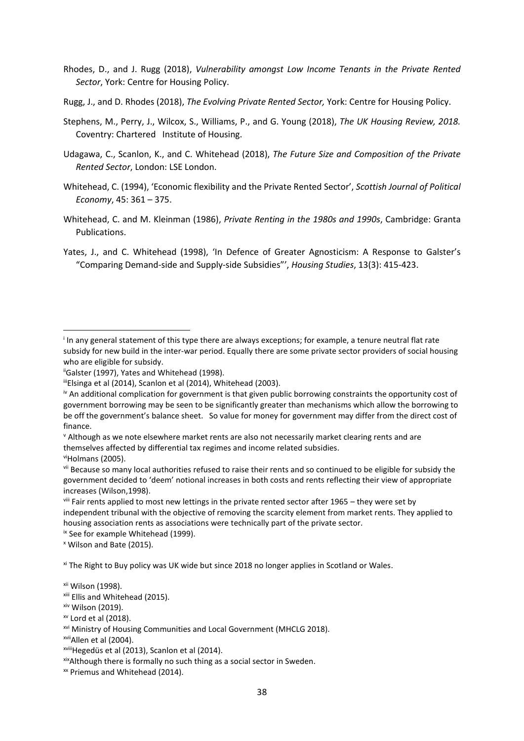- Rhodes, D., and J. Rugg (2018), *Vulnerability amongst Low Income Tenants in the Private Rented Sector*, York: Centre for Housing Policy.
- Rugg, J., and D. Rhodes (2018), *The Evolving Private Rented Sector,* York: Centre for Housing Policy.
- Stephens, M., Perry, J., Wilcox, S., Williams, P., and G. Young (2018), *The UK Housing Review, 2018.* Coventry: Chartered Institute of Housing.
- Udagawa, C., Scanlon, K., and C. Whitehead (2018), *The Future Size and Composition of the Private Rented Sector*, London: LSE London.
- Whitehead, C. (1994), 'Economic flexibility and the Private Rented Sector', *Scottish Journal of Political Economy*, 45: 361 – 375.
- Whitehead, C. and M. Kleinman (1986), *Private Renting in the 1980s and 1990s*, Cambridge: Granta Publications.
- Yates, J., and C. Whitehead (1998), 'In Defence of Greater Agnosticism: A Response to Galster's "Comparing Demand-side and Supply-side Subsidies"', *Housing Studies*, 13(3): 415-423.

<sup>v</sup> Although as we note elsewhere market rents are also not necessarily market clearing rents and are themselves affected by differential tax regimes and income related subsidies.

viHolmans (2005).

<sup>ix</sup> See for example Whitehead (1999).

<sup>x</sup> Wilson and Bate (2015).

xi The Right to Buy policy was UK wide but since 2018 no longer applies in Scotland or Wales.

i In any general statement of this type there are always exceptions; for example, a tenure neutral flat rate subsidy for new build in the inter-war period. Equally there are some private sector providers of social housing who are eligible for subsidy.

iiGalster (1997), Yates and Whitehead (1998).

iiiElsinga et al (2014), Scanlon et al (2014), Whitehead (2003).

iv An additional complication for government is that given public borrowing constraints the opportunity cost of government borrowing may be seen to be significantly greater than mechanisms which allow the borrowing to be off the government's balance sheet. So value for money for government may differ from the direct cost of finance.

vii Because so many local authorities refused to raise their rents and so continued to be eligible for subsidy the government decided to 'deem' notional increases in both costs and rents reflecting their view of appropriate increases (Wilson,1998).

viii Fair rents applied to most new lettings in the private rented sector after 1965 - they were set by independent tribunal with the objective of removing the scarcity element from market rents. They applied to housing association rents as associations were technically part of the private sector.

xii Wilson (1998).

xiii Ellis and Whitehead (2015).

xiv Wilson (2019).

 $xv$  Lord et al (2018).

<sup>&</sup>lt;sup>xvi</sup> Ministry of Housing Communities and Local Government (MHCLG 2018).

xviiAllen et al (2004).

xviiiHegedüs et al (2013), Scanlon et al (2014).

xixAlthough there is formally no such thing as a social sector in Sweden.

xx Priemus and Whitehead (2014).